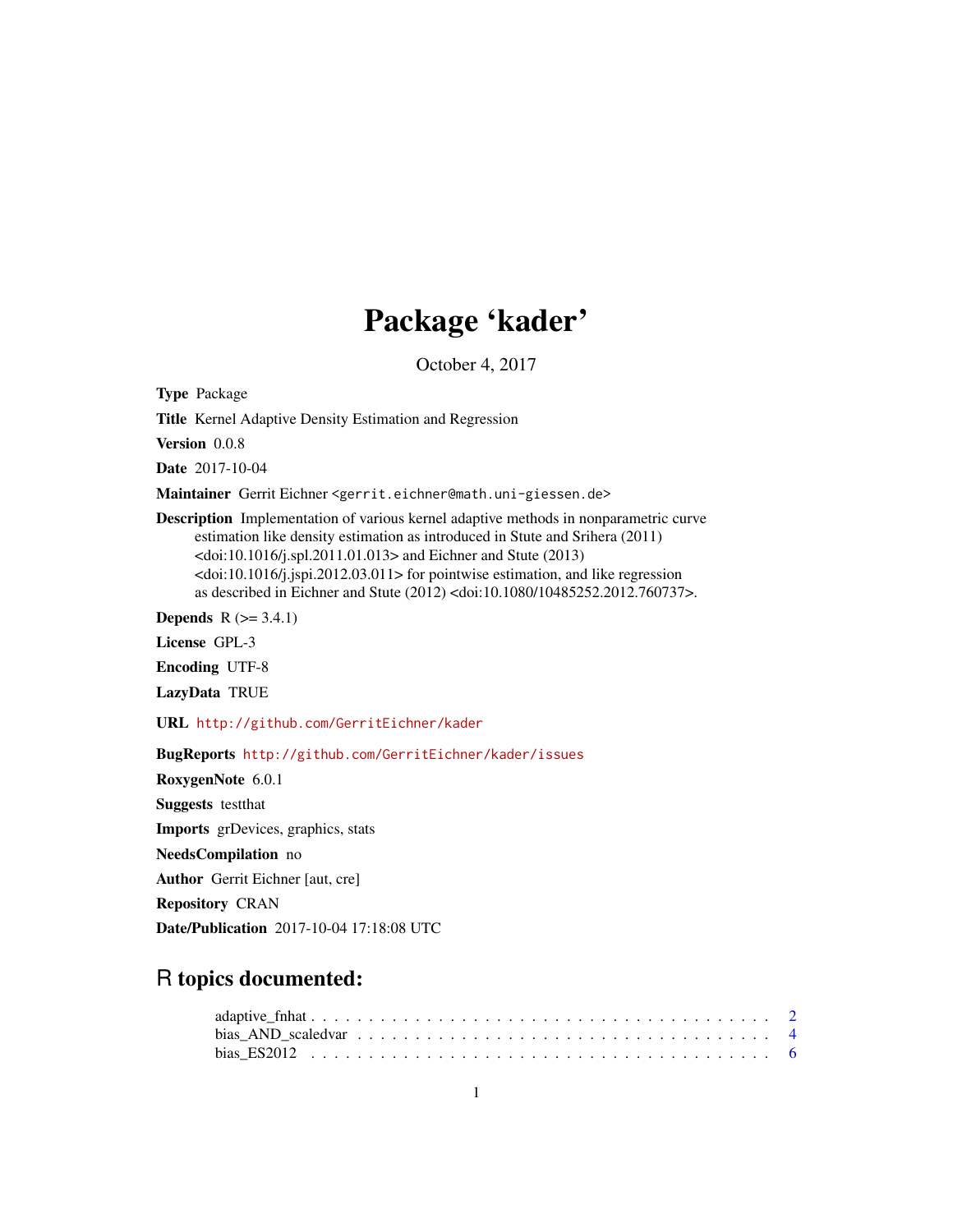# Package 'kader'

October 4, 2017

<span id="page-0-0"></span>Type Package

Title Kernel Adaptive Density Estimation and Regression

Version 0.0.8

Date 2017-10-04

Maintainer Gerrit Eichner <gerrit.eichner@math.uni-giessen.de>

Description Implementation of various kernel adaptive methods in nonparametric curve estimation like density estimation as introduced in Stute and Srihera (2011) <doi:10.1016/j.spl.2011.01.013> and Eichner and Stute (2013)  $\langle \text{doi:10.1016/j.} | \text{spin.2012.03.011>}$  for pointwise estimation, and like regression as described in Eichner and Stute (2012) <doi:10.1080/10485252.2012.760737>.

**Depends**  $R$  ( $>= 3.4.1$ )

License GPL-3

Encoding UTF-8

LazyData TRUE

URL <http://github.com/GerritEichner/kader>

BugReports <http://github.com/GerritEichner/kader/issues>

RoxygenNote 6.0.1 Suggests testthat Imports grDevices, graphics, stats NeedsCompilation no Author Gerrit Eichner [aut, cre] Repository CRAN Date/Publication 2017-10-04 17:18:08 UTC

R topics documented: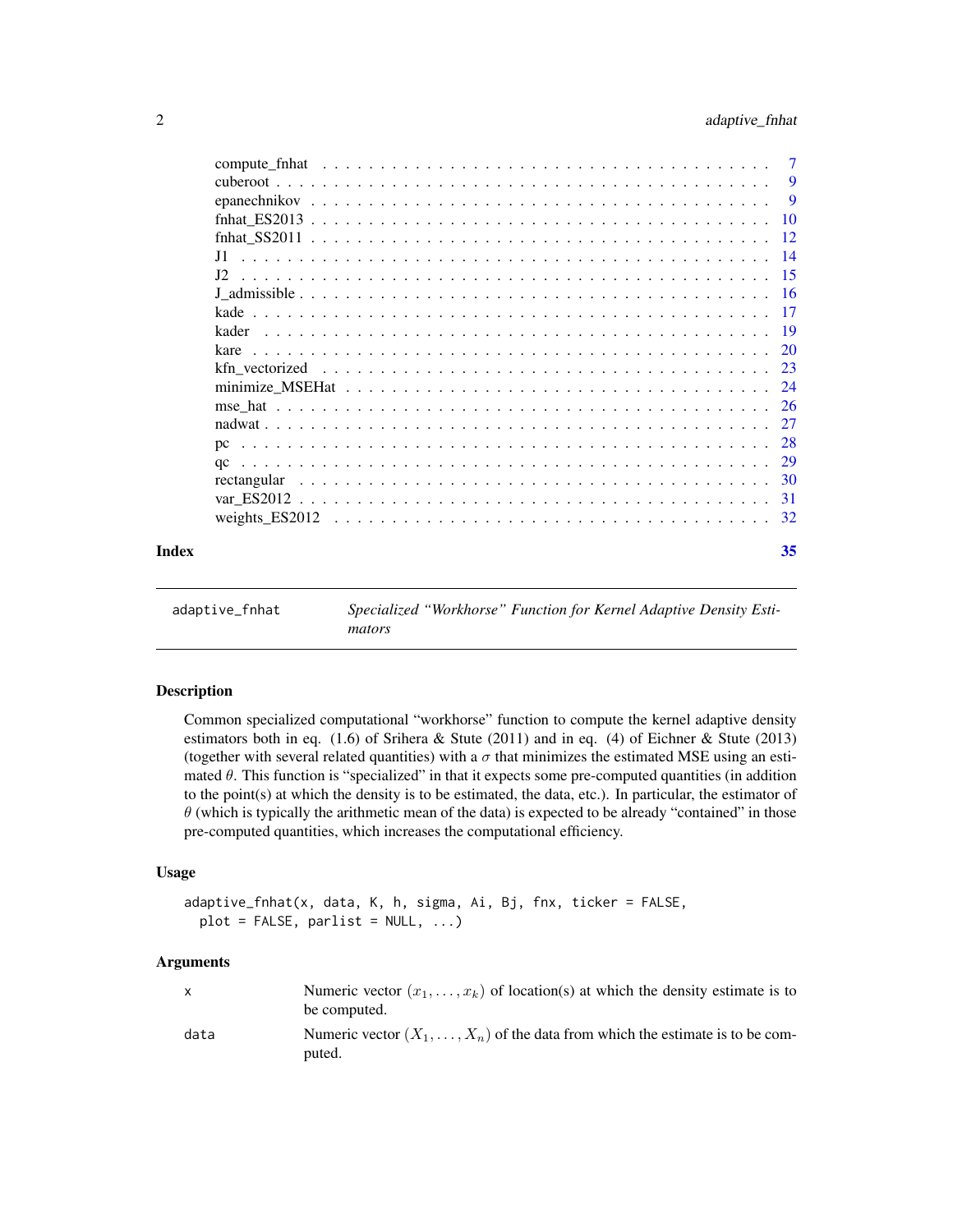<span id="page-1-0"></span>

|       | J1. |    |
|-------|-----|----|
|       |     |    |
|       |     |    |
|       |     |    |
|       |     |    |
|       |     |    |
|       |     |    |
|       |     |    |
|       |     |    |
|       |     |    |
|       |     |    |
|       |     |    |
|       |     |    |
|       |     |    |
|       |     |    |
| Index |     | 35 |

<span id="page-1-1"></span>

| adaptive_fnhat |        | Specialized "Workhorse" Function for Kernel Adaptive Density Esti- |
|----------------|--------|--------------------------------------------------------------------|
|                | mators |                                                                    |

## Description

Common specialized computational "workhorse" function to compute the kernel adaptive density estimators both in eq. (1.6) of Srihera & Stute (2011) and in eq. (4) of Eichner & Stute (2013) (together with several related quantities) with a  $\sigma$  that minimizes the estimated MSE using an estimated  $\theta$ . This function is "specialized" in that it expects some pre-computed quantities (in addition to the point(s) at which the density is to be estimated, the data, etc.). In particular, the estimator of  $\theta$  (which is typically the arithmetic mean of the data) is expected to be already "contained" in those pre-computed quantities, which increases the computational efficiency.

## Usage

```
adaptive_fnhat(x, data, K, h, sigma, Ai, Bj, fnx, ticker = FALSE,
 plot = FALSE, parlist = NULL, ...)
```
## Arguments

| $\mathsf{x}$ | Numeric vector $(x_1, \ldots, x_k)$ of location(s) at which the density estimate is to<br>be computed. |
|--------------|--------------------------------------------------------------------------------------------------------|
| data         | Numeric vector $(X_1, \ldots, X_n)$ of the data from which the estimate is to be com-<br>puted.        |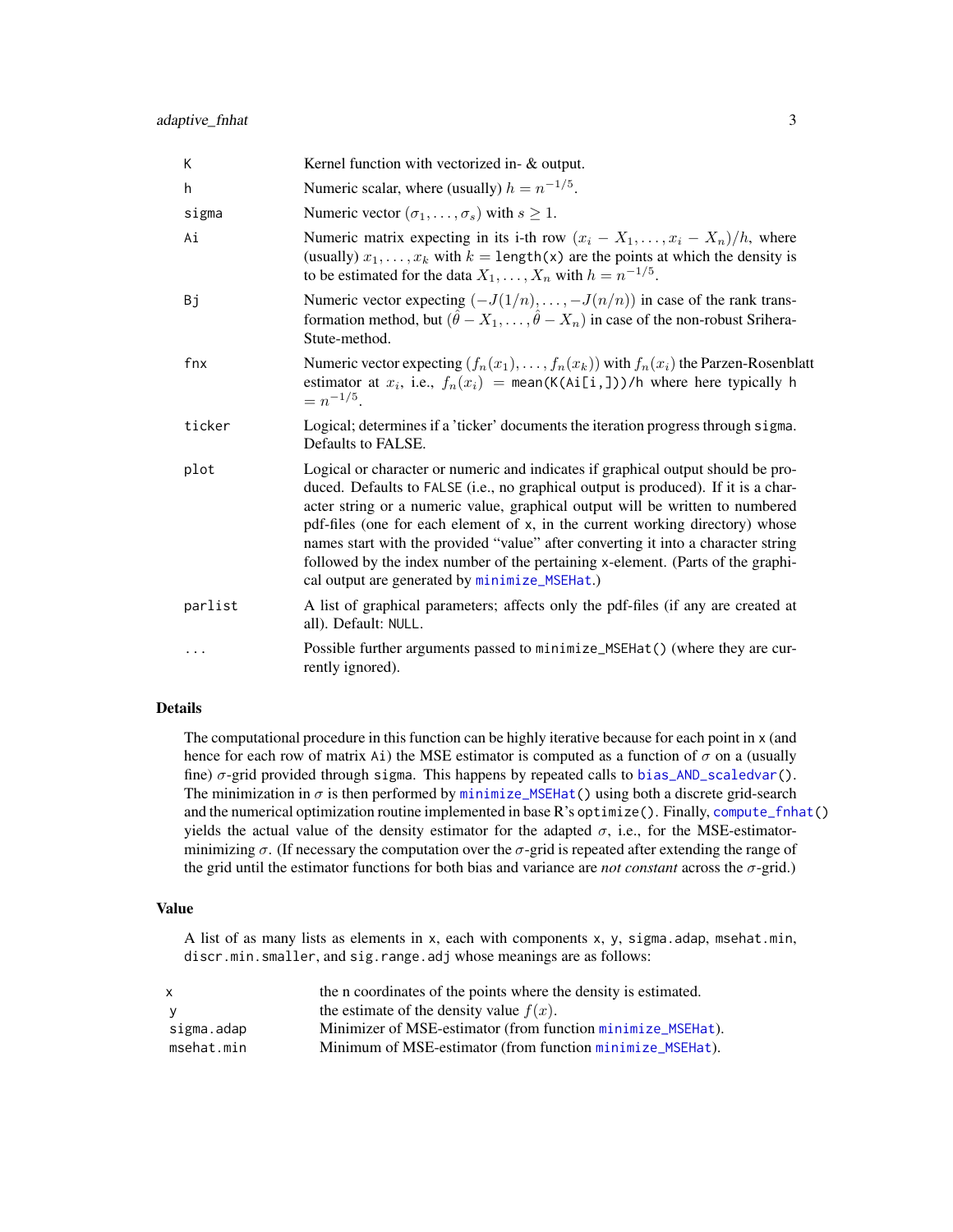<span id="page-2-0"></span>

| К       | Kernel function with vectorized in- & output.                                                                                                                                                                                                                                                                                                                                                                                                                                                                                                                     |
|---------|-------------------------------------------------------------------------------------------------------------------------------------------------------------------------------------------------------------------------------------------------------------------------------------------------------------------------------------------------------------------------------------------------------------------------------------------------------------------------------------------------------------------------------------------------------------------|
| h.      | Numeric scalar, where (usually) $h = n^{-1/5}$ .                                                                                                                                                                                                                                                                                                                                                                                                                                                                                                                  |
| sigma   | Numeric vector $(\sigma_1, \ldots, \sigma_s)$ with $s \geq 1$ .                                                                                                                                                                                                                                                                                                                                                                                                                                                                                                   |
| Ai      | Numeric matrix expecting in its i-th row $(x_i - X_1, \ldots, x_i - X_n)/h$ , where<br>(usually) $x_1, \ldots, x_k$ with $k = \text{length}(x)$ are the points at which the density is<br>to be estimated for the data $X_1, \ldots, X_n$ with $h = n^{-1/5}$ .                                                                                                                                                                                                                                                                                                   |
| Bj      | Numeric vector expecting $(-J(1/n),, -J(n/n))$ in case of the rank trans-<br>formation method, but $(\hat{\theta} - X_1, \dots, \hat{\theta} - X_n)$ in case of the non-robust Srihera-<br>Stute-method.                                                                                                                                                                                                                                                                                                                                                          |
| fnx     | Numeric vector expecting $(f_n(x_1),,f_n(x_k))$ with $f_n(x_i)$ the Parzen-Rosenblatt<br>estimator at $x_i$ , i.e., $f_n(x_i)$ = mean(K(Ai[i,]))/h where here typically h<br>$= n^{-1/5}.$                                                                                                                                                                                                                                                                                                                                                                        |
| ticker  | Logical; determines if a 'ticker' documents the iteration progress through sigma.<br>Defaults to FALSE.                                                                                                                                                                                                                                                                                                                                                                                                                                                           |
| plot    | Logical or character or numeric and indicates if graphical output should be pro-<br>duced. Defaults to FALSE (i.e., no graphical output is produced). If it is a char-<br>acter string or a numeric value, graphical output will be written to numbered<br>pdf-files (one for each element of x, in the current working directory) whose<br>names start with the provided "value" after converting it into a character string<br>followed by the index number of the pertaining x-element. (Parts of the graphi-<br>cal output are generated by minimize_MSEHat.) |
| parlist | A list of graphical parameters; affects only the pdf-files (if any are created at<br>all). Default: NULL.                                                                                                                                                                                                                                                                                                                                                                                                                                                         |
| .       | Possible further arguments passed to minimize_MSEHat() (where they are cur-<br>rently ignored).                                                                                                                                                                                                                                                                                                                                                                                                                                                                   |

## Details

The computational procedure in this function can be highly iterative because for each point in x (and hence for each row of matrix Ai) the MSE estimator is computed as a function of  $\sigma$  on a (usually fine)  $\sigma$ -grid provided through sigma. This happens by repeated calls to [bias\\_AND\\_scaledvar\(](#page-3-1)). The minimization in  $\sigma$  is then performed by [minimize\\_MSEHat\(](#page-23-1)) using both a discrete grid-search and the numerical optimization routine implemented in base R's optimize(). Finally, [compute\\_fnhat\(](#page-6-1)) yields the actual value of the density estimator for the adapted  $\sigma$ , i.e., for the MSE-estimatorminimizing  $\sigma$ . (If necessary the computation over the  $\sigma$ -grid is repeated after extending the range of the grid until the estimator functions for both bias and variance are *not constant* across the σ-grid.)

## Value

A list of as many lists as elements in x, each with components x, y, sigma.adap, msehat.min, discr.min.smaller, and sig.range.adj whose meanings are as follows:

| x          | the n coordinates of the points where the density is estimated. |
|------------|-----------------------------------------------------------------|
| <b>V</b>   | the estimate of the density value $f(x)$ .                      |
| sigma.adap | Minimizer of MSE-estimator (from function minimize_MSEHat).     |
| msehat.min | Minimum of MSE-estimator (from function minimize_MSEHat).       |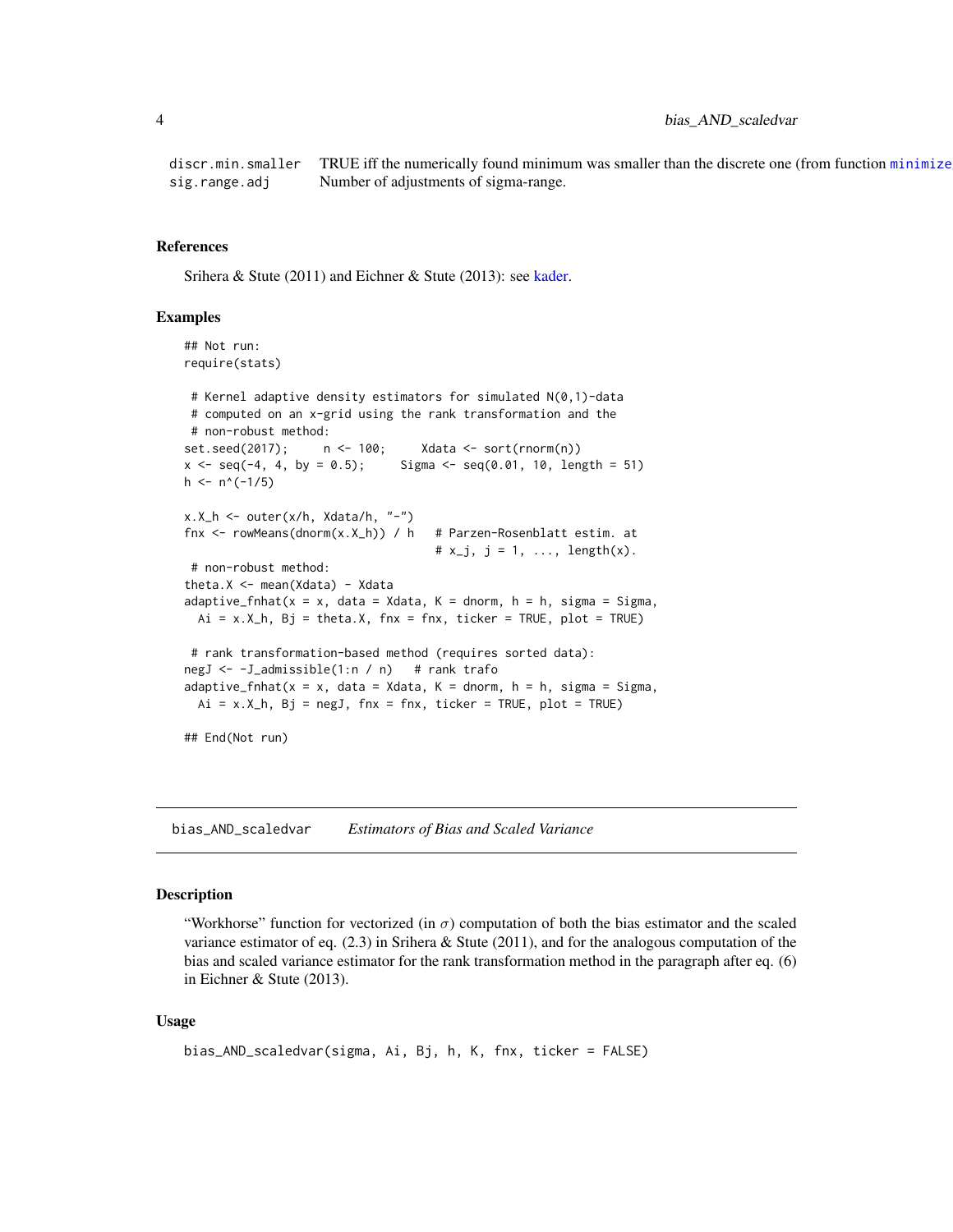## <span id="page-3-0"></span>4 bias\_AND\_scaledvar

discr.min.smaller TRUE iff the numerically found minimum was smaller than the discrete one (from function minimize sig.range.adj Number of adjustments of sigma-range.

## References

Srihera & Stute (2011) and Eichner & Stute (2013): see [kader.](#page-18-1)

#### Examples

```
## Not run:
require(stats)
# Kernel adaptive density estimators for simulated N(0,1)-data
# computed on an x-grid using the rank transformation and the
# non-robust method:
set.seed(2017); n <- 100; Xdata <- sort(rnorm(n))
x \le - seq(-4, 4, by = 0.5); Sigma \le - seq(0.01, 10, length = 51)
h \le -n^(-1/5)x.X_h \leftarrow outer(x/h, Xdata/h, "-")fnx \le rowMeans(dnorm(x.X_h)) / h # Parzen-Rosenblatt estim. at
                                    # x_j, j = 1, ..., length(x).
# non-robust method:
theta.X <- mean(Xdata) - Xdata
adaptive_fnhat(x = x, data = Xdata, K = dnorm, h = h, sigma = Sigma,
 Ai = x.X_h, Bj = theta.X, fnx = fnx, ticker = TRUE, plot = TRUE)
# rank transformation-based method (requires sorted data):
negJ <- -J_admissible(1:n / n) # rank trafo
adaptive_fnhat(x = x, data = Xdata, K = dnorm, h = h, sigma = Sigma,
 Ai = x.X_h, Bj = negJ, fnx = fnx, ticker = TRUE, plot = TRUE)
## End(Not run)
```
<span id="page-3-1"></span>bias\_AND\_scaledvar *Estimators of Bias and Scaled Variance*

#### Description

"Workhorse" function for vectorized (in  $\sigma$ ) computation of both the bias estimator and the scaled variance estimator of eq.  $(2.3)$  in Srihera & Stute  $(2011)$ , and for the analogous computation of the bias and scaled variance estimator for the rank transformation method in the paragraph after eq. (6) in Eichner & Stute (2013).

#### Usage

```
bias_AND_scaledvar(sigma, Ai, Bj, h, K, fnx, ticker = FALSE)
```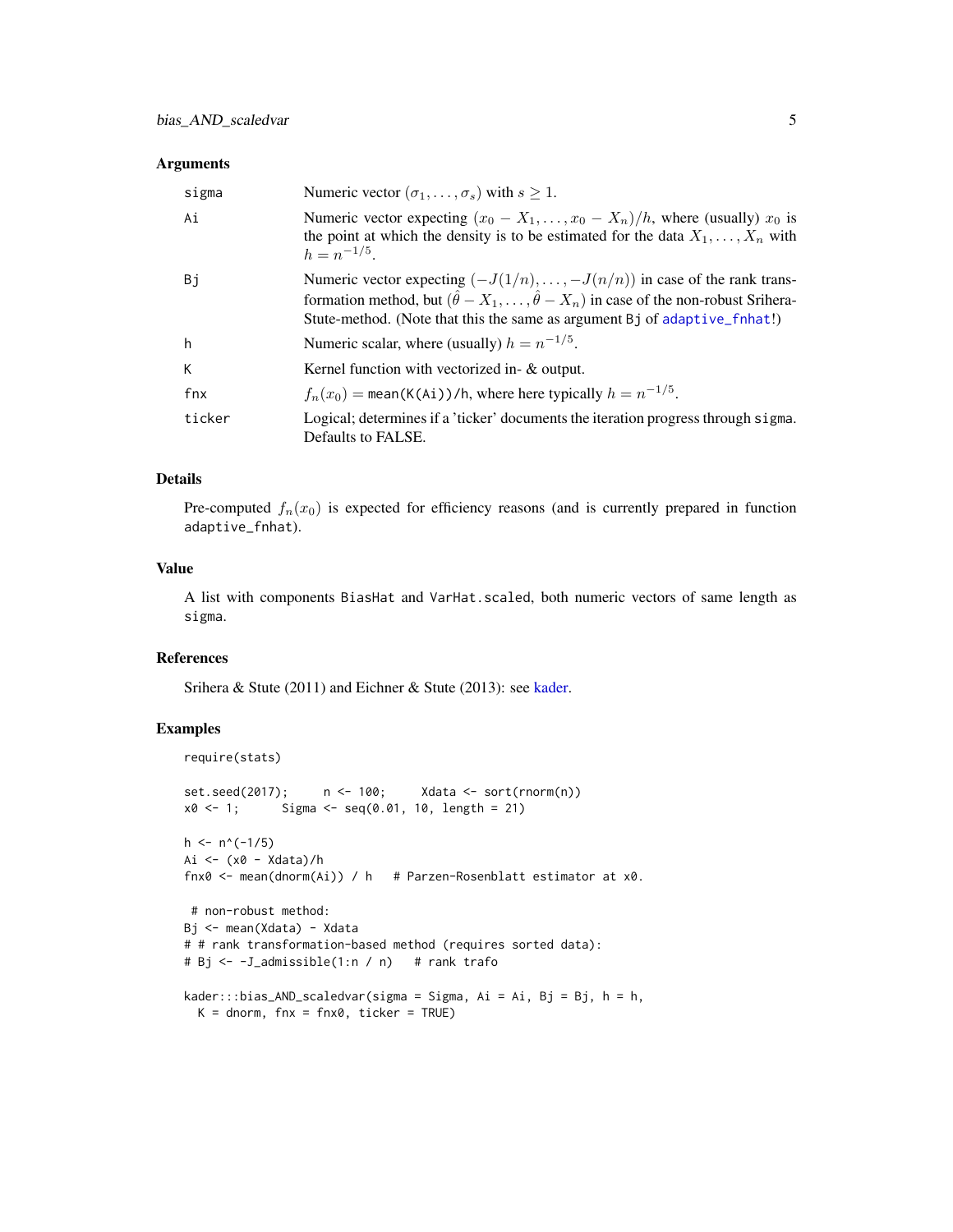## <span id="page-4-0"></span>Arguments

| sigma  | Numeric vector $(\sigma_1, \ldots, \sigma_s)$ with $s \geq 1$ .                                                                                                                                                                                                             |
|--------|-----------------------------------------------------------------------------------------------------------------------------------------------------------------------------------------------------------------------------------------------------------------------------|
| Ai     | Numeric vector expecting $(x_0 - X_1, \ldots, x_0 - X_n)/h$ , where (usually) $x_0$ is<br>the point at which the density is to be estimated for the data $X_1, \ldots, X_n$ with<br>$h = n^{-1/5}$                                                                          |
| Bi     | Numeric vector expecting $(-J(1/n), \ldots, -J(n/n))$ in case of the rank trans-<br>formation method, but $(\hat{\theta} - X_1, \dots, \hat{\theta} - X_n)$ in case of the non-robust Srihera-<br>Stute-method. (Note that this the same as argument Bj of adaptive_finat!) |
| h      | Numeric scalar, where (usually) $h = n^{-1/5}$ .                                                                                                                                                                                                                            |
| K      | Kernel function with vectorized in- $\&$ output.                                                                                                                                                                                                                            |
| fnx    | $f_n(x_0)$ = mean(K(Ai))/h, where here typically $h = n^{-1/5}$ .                                                                                                                                                                                                           |
| ticker | Logical; determines if a 'ticker' documents the iteration progress through sigma.<br>Defaults to FALSE.                                                                                                                                                                     |

## Details

Pre-computed  $f_n(x_0)$  is expected for efficiency reasons (and is currently prepared in function adaptive\_fnhat).

## Value

A list with components BiasHat and VarHat.scaled, both numeric vectors of same length as sigma.

## References

Srihera & Stute (2011) and Eichner & Stute (2013): see [kader.](#page-18-1)

```
require(stats)
set.seed(2017); n <- 100; Xdata <- sort(rnorm(n))
x0 \le -1; Sigma \le - seq(0.01, 10, length = 21)
h \leq n^(-1/5)Ai <- (x0 - Xdata)/h
fnx0 <- mean(dnorm(Ai)) / h # Parzen-Rosenblatt estimator at x0.
# non-robust method:
Bj <- mean(Xdata) - Xdata
# # rank transformation-based method (requires sorted data):
# Bj <- -J_admissible(1:n / n) # rank trafo
kader:::bias\_AND\_scaledvar(sigma = Sigma, Ai = Ai, Bj = Bj, h = h,K = dnorm, fnx = fnx0, ticker = TRUE)
```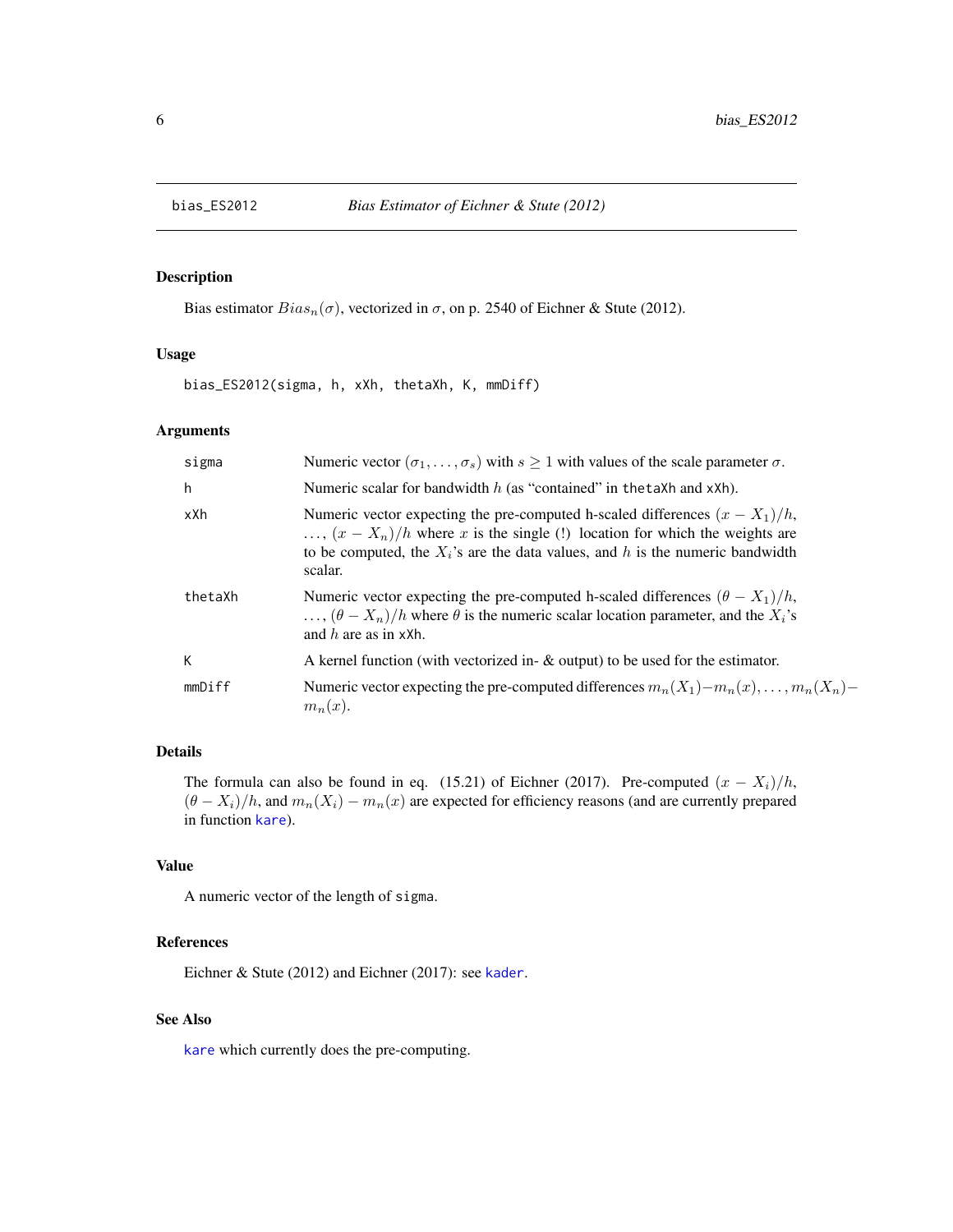<span id="page-5-1"></span><span id="page-5-0"></span>

## Description

Bias estimator  $Bias_n(\sigma)$ , vectorized in  $\sigma$ , on p. 2540 of Eichner & Stute (2012).

#### Usage

bias\_ES2012(sigma, h, xXh, thetaXh, K, mmDiff)

## Arguments

| sigma   | Numeric vector $(\sigma_1, \ldots, \sigma_s)$ with $s \ge 1$ with values of the scale parameter $\sigma$ .                                                                                                                                                             |
|---------|------------------------------------------------------------------------------------------------------------------------------------------------------------------------------------------------------------------------------------------------------------------------|
| h       | Numeric scalar for bandwidth $h$ (as "contained" in the taXh and xXh).                                                                                                                                                                                                 |
| xXh     | Numeric vector expecting the pre-computed h-scaled differences $(x - X_1)/h$ ,<br>$\ldots$ , $(x - X_n)/h$ where x is the single (!) location for which the weights are<br>to be computed, the $X_i$ 's are the data values, and h is the numeric bandwidth<br>scalar. |
| thetaXh | Numeric vector expecting the pre-computed h-scaled differences $(\theta - X_1)/h$ ,<br>$\ldots$ , $(\theta - X_n)/h$ where $\theta$ is the numeric scalar location parameter, and the $X_i$ 's<br>and $h$ are as in xXh.                                               |
| К       | A kernel function (with vectorized in- $\&$ output) to be used for the estimator.                                                                                                                                                                                      |
| mmDiff  | Numeric vector expecting the pre-computed differences $m_n(X_1) - m_n(x), \ldots, m_n(X_n) -$<br>$m_n(x)$ .                                                                                                                                                            |

## Details

The formula can also be found in eq. (15.21) of Eichner (2017). Pre-computed  $(x - X_i)/h$ ,  $(\theta - X_i)/h$ , and  $m_n(X_i) - m_n(x)$  are expected for efficiency reasons (and are currently prepared in function [kare](#page-19-1)).

## Value

A numeric vector of the length of sigma.

## References

Eichner & Stute (2012) and Eichner (2017): see [kader](#page-18-1).

## See Also

[kare](#page-19-1) which currently does the pre-computing.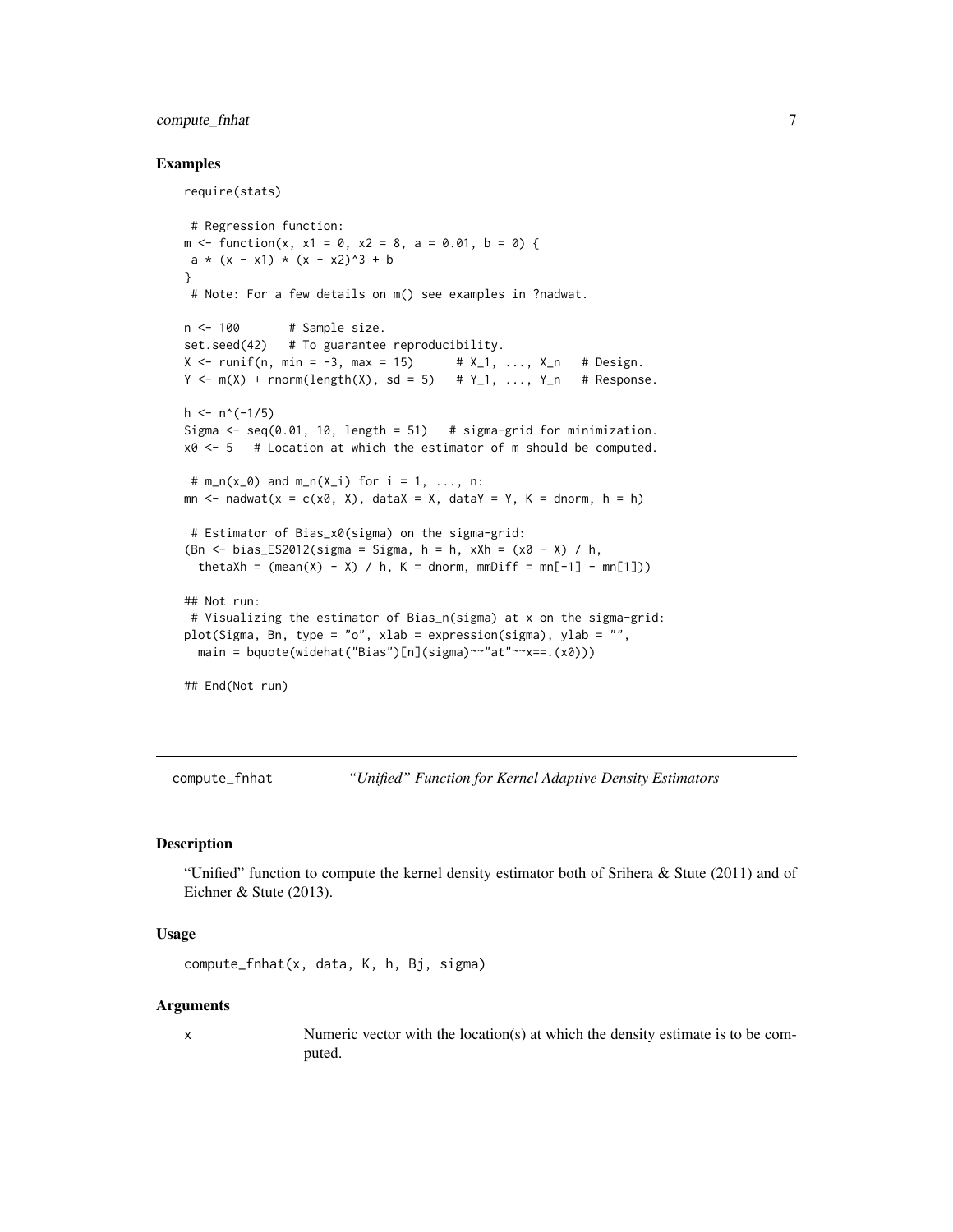## <span id="page-6-0"></span>compute\_fnhat 7

### Examples

```
require(stats)
 # Regression function:
m \le function(x, x1 = 0, x2 = 8, a = 0.01, b = 0) {
a * (x - x1) * (x - x2)^3 + b}
 # Note: For a few details on m() see examples in ?nadwat.
n < -100 # Sample size.
set.seed(42) # To guarantee reproducibility.
X \le runif(n, min = -3, max = 15) # X_1, ..., X_n # Design.
Y \leq -m(X) + rnorm(length(X), sd = 5) # Y_1, \ldots, Y_n # Response.
h \le -n^(-1/5)Sigma \leq seq(0.01, 10, length = 51) # sigma-grid for minimization.
x0 \leq -5 # Location at which the estimator of m should be computed.
# m_n(x_0) and m_n(x_i) for i = 1, ..., n:
mn \le nadwat(x = c(x0, X), dataX = X, dataY = Y, K = dnorm, h = h)
 # Estimator of Bias_x0(sigma) on the sigma-grid:
(Bn \le bias_ES2012(sigma = Sigma, h = h, xXh = (x0 - X) / h,
  thetaXh = (\text{mean}(X) - X) / h, K = dnorm, mmDiff = mn[-1] - mn[1]))
## Not run:
 # Visualizing the estimator of Bias_n(sigma) at x on the sigma-grid:
plot(Sigma, Bn, type = "o", xlab = expression(sigma), ylab = "",
  main = bquote(widehat("Bias")[n](sigma)~~"at"~~x==.(x0)))
## End(Not run)
```
<span id="page-6-1"></span>compute\_fnhat *"Unified" Function for Kernel Adaptive Density Estimators*

## Description

"Unified" function to compute the kernel density estimator both of Srihera & Stute (2011) and of Eichner & Stute (2013).

## Usage

```
compute_fnhat(x, data, K, h, Bj, sigma)
```
#### Arguments

x Numeric vector with the location(s) at which the density estimate is to be computed.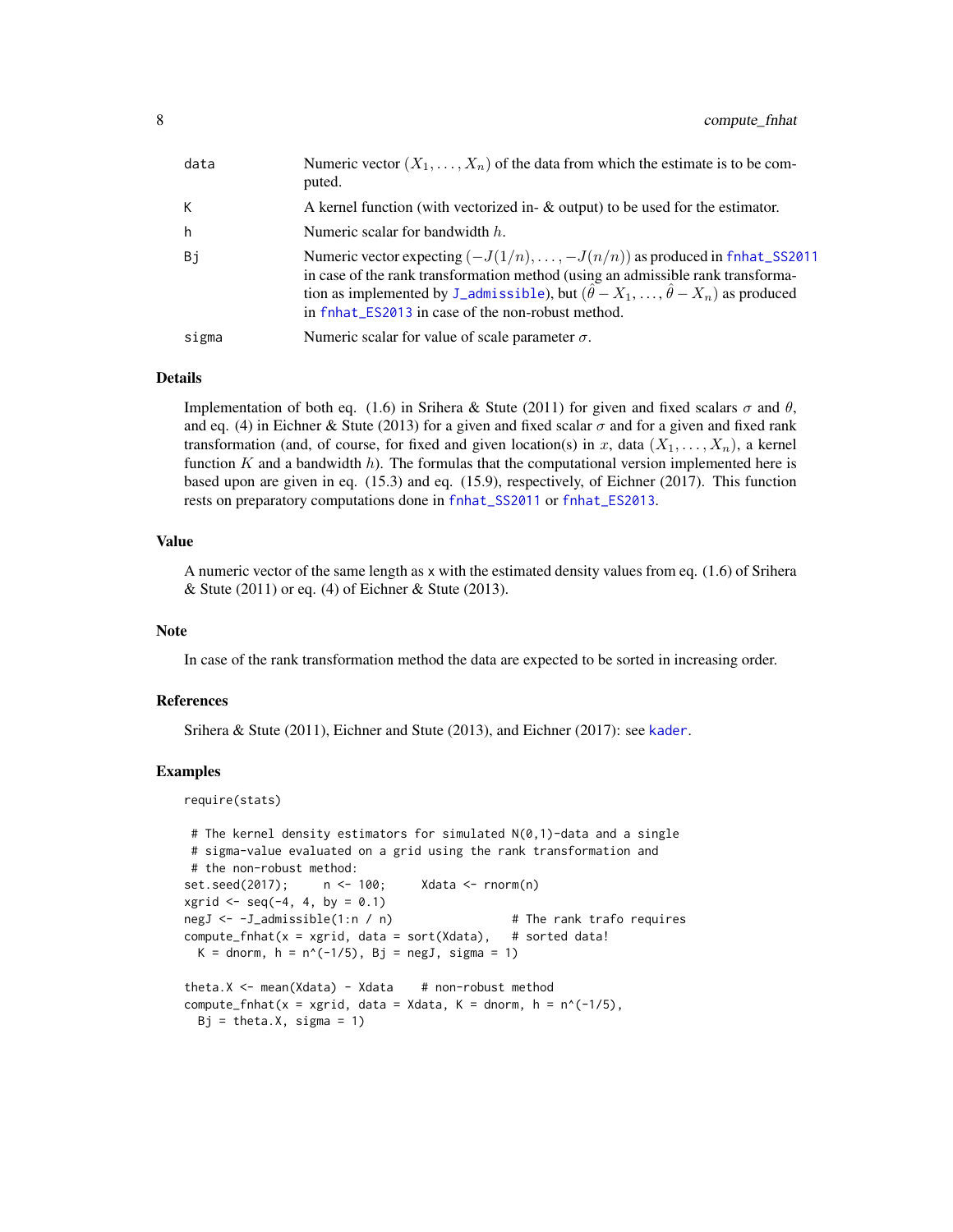<span id="page-7-0"></span>

| data      | Numeric vector $(X_1, \ldots, X_n)$ of the data from which the estimate is to be com-<br>puted.                                                                                                                                                                                                                                 |
|-----------|---------------------------------------------------------------------------------------------------------------------------------------------------------------------------------------------------------------------------------------------------------------------------------------------------------------------------------|
| К         | A kernel function (with vectorized in- $\&$ output) to be used for the estimator.                                                                                                                                                                                                                                               |
| h         | Numeric scalar for bandwidth $h$ .                                                                                                                                                                                                                                                                                              |
| <b>Bj</b> | Numeric vector expecting $(-J(1/n), \ldots, -J(n/n))$ as produced in fnhat_SS2011<br>in case of the rank transformation method (using an admissible rank transforma-<br>tion as implemented by J_admissible), but $(\hat{\theta} - X_1, , \hat{\theta} - X_n)$ as produced<br>in fnhat_ES2013 in case of the non-robust method. |
| sigma     | Numeric scalar for value of scale parameter $\sigma$ .                                                                                                                                                                                                                                                                          |

## Details

Implementation of both eq. (1.6) in Srihera & Stute (2011) for given and fixed scalars  $\sigma$  and  $\theta$ , and eq. (4) in Eichner & Stute (2013) for a given and fixed scalar  $\sigma$  and for a given and fixed rank transformation (and, of course, for fixed and given location(s) in x, data  $(X_1, \ldots, X_n)$ , a kernel function  $K$  and a bandwidth  $h$ ). The formulas that the computational version implemented here is based upon are given in eq. (15.3) and eq. (15.9), respectively, of Eichner (2017). This function rests on preparatory computations done in [fnhat\\_SS2011](#page-11-1) or [fnhat\\_ES2013](#page-9-1).

#### Value

A numeric vector of the same length as x with the estimated density values from eq. (1.6) of Srihera & Stute (2011) or eq. (4) of Eichner & Stute (2013).

#### Note

In case of the rank transformation method the data are expected to be sorted in increasing order.

## References

Srihera & Stute (2011), Eichner and Stute (2013), and Eichner (2017): see [kader](#page-18-1).

```
require(stats)
```

```
# The kernel density estimators for simulated N(0,1)-data and a single
# sigma-value evaluated on a grid using the rank transformation and
# the non-robust method:
set.seed(2017); n <- 100; Xdata <- rnorm(n)
xgrid \leq -seq(-4, 4, by = 0.1)negJ <- -J_admissible(1:n / n) # The rank trafo requires
compute_fnhat(x = xgrid, data = sort(Xdata), # sorted data!K = dnorm, h = n^(-1/5), Bj = negJ, sigma = 1)
theta.X \leq mean(Xdata) - Xdata # non-robust method
compute_fnhat(x = xgrid, data = Xdata, K = dnorm, h = n^(-1/5),
 Bj = \text{theta.X}, \text{sigma} = 1
```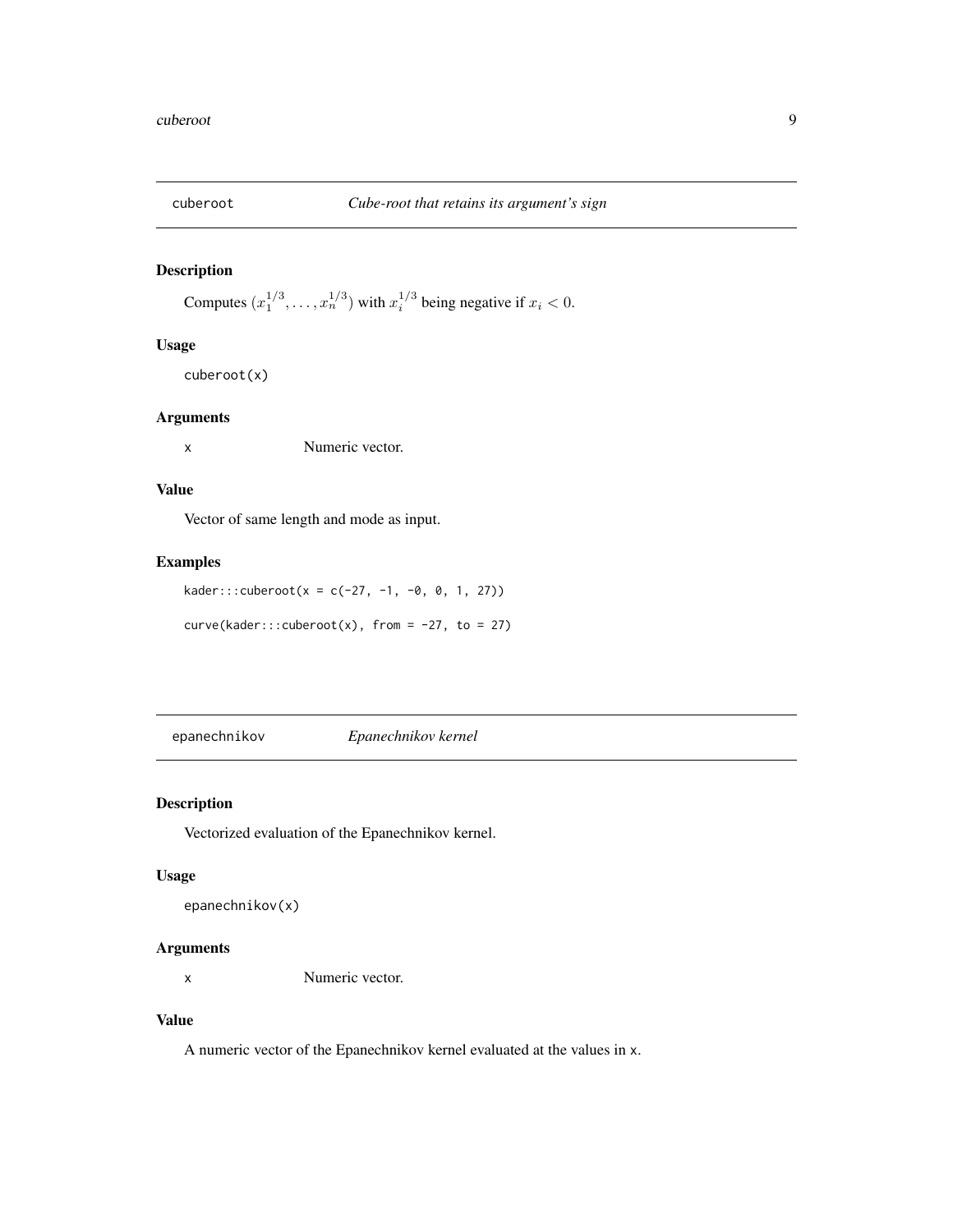<span id="page-8-0"></span>

## Description

Computes  $(x_1^{1/3}, \ldots, x_n^{1/3})$  with  $x_i^{1/3}$  being negative if  $x_i < 0$ .

## Usage

cuberoot(x)

#### Arguments

x Numeric vector.

## Value

Vector of same length and mode as input.

## Examples

 $kader::cuberoot(x = c(-27, -1, -0, 0, 1, 27))$ 

 $curve(kader::cuberoot(x), from = -27, to = 27)$ 

epanechnikov *Epanechnikov kernel*

## Description

Vectorized evaluation of the Epanechnikov kernel.

## Usage

```
epanechnikov(x)
```
## Arguments

x Numeric vector.

## Value

A numeric vector of the Epanechnikov kernel evaluated at the values in x.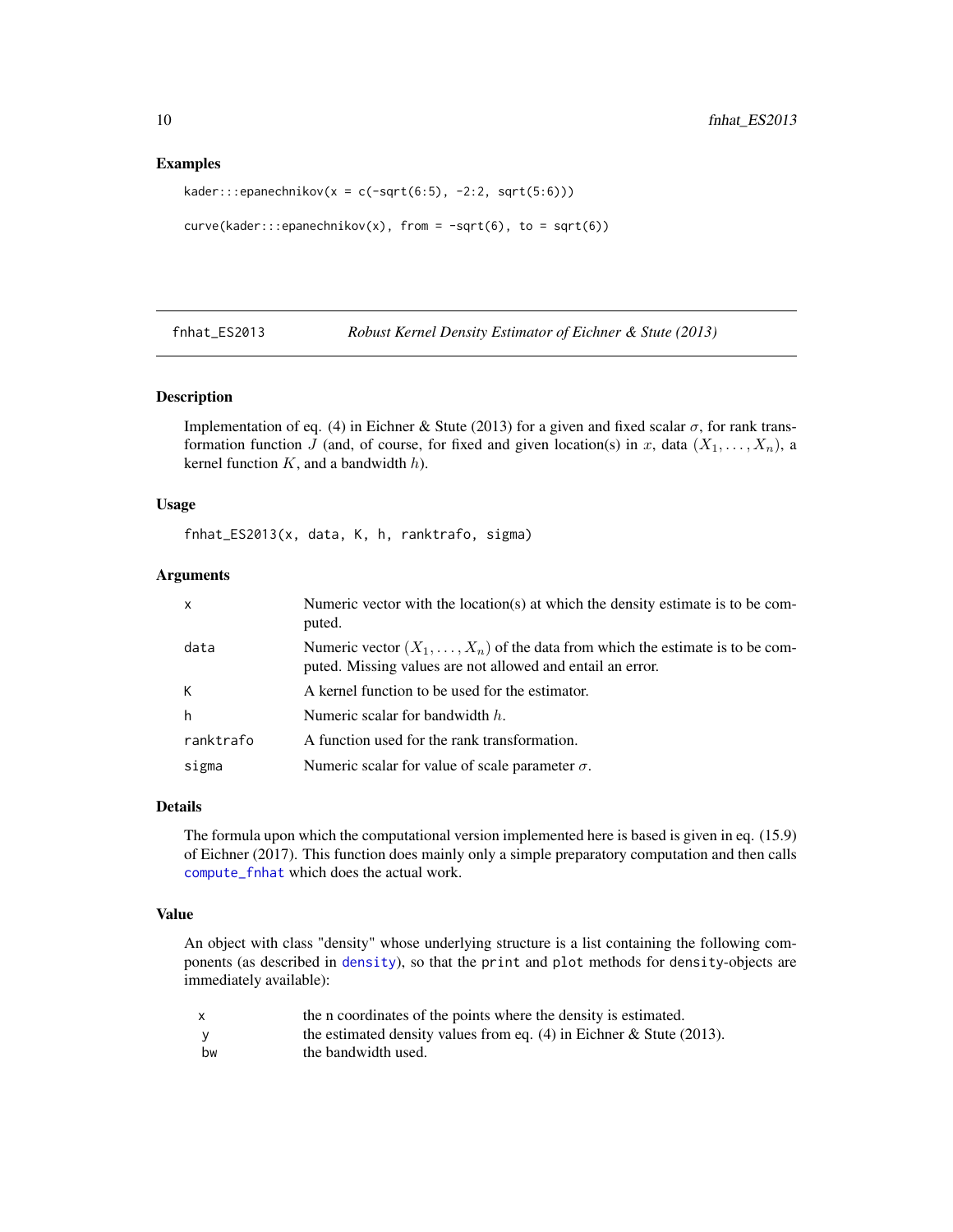#### Examples

```
kader:::epanechnikov(x = c(-sqrt(6:5), -2:2, sqrt(5:6)))
```

```
curve(kader:::epanechnikov(x), from = -sqrt(6), to = sqrt(6))
```
<span id="page-9-1"></span>fnhat\_ES2013 *Robust Kernel Density Estimator of Eichner & Stute (2013)*

#### Description

Implementation of eq. (4) in Eichner & Stute (2013) for a given and fixed scalar  $\sigma$ , for rank transformation function J (and, of course, for fixed and given location(s) in x, data  $(X_1, \ldots, X_n)$ , a kernel function  $K$ , and a bandwidth  $h$ ).

## Usage

fnhat\_ES2013(x, data, K, h, ranktrafo, sigma)

#### Arguments

| x         | Numeric vector with the location(s) at which the density estimate is to be com-<br>puted.                                                           |
|-----------|-----------------------------------------------------------------------------------------------------------------------------------------------------|
| data      | Numeric vector $(X_1, \ldots, X_n)$ of the data from which the estimate is to be com-<br>puted. Missing values are not allowed and entail an error. |
| К         | A kernel function to be used for the estimator.                                                                                                     |
| h         | Numeric scalar for bandwidth $h$ .                                                                                                                  |
| ranktrafo | A function used for the rank transformation.                                                                                                        |
| sigma     | Numeric scalar for value of scale parameter $\sigma$ .                                                                                              |

## Details

The formula upon which the computational version implemented here is based is given in eq. (15.9) of Eichner (2017). This function does mainly only a simple preparatory computation and then calls [compute\\_fnhat](#page-6-1) which does the actual work.

## Value

An object with class "density" whose underlying structure is a list containing the following components (as described in [density](#page-0-0)), so that the print and plot methods for density-objects are immediately available):

| X   | the n coordinates of the points where the density is estimated.        |
|-----|------------------------------------------------------------------------|
| - V | the estimated density values from eq. $(4)$ in Eichner & Stute (2013). |
| bw  | the bandwidth used.                                                    |

<span id="page-9-0"></span>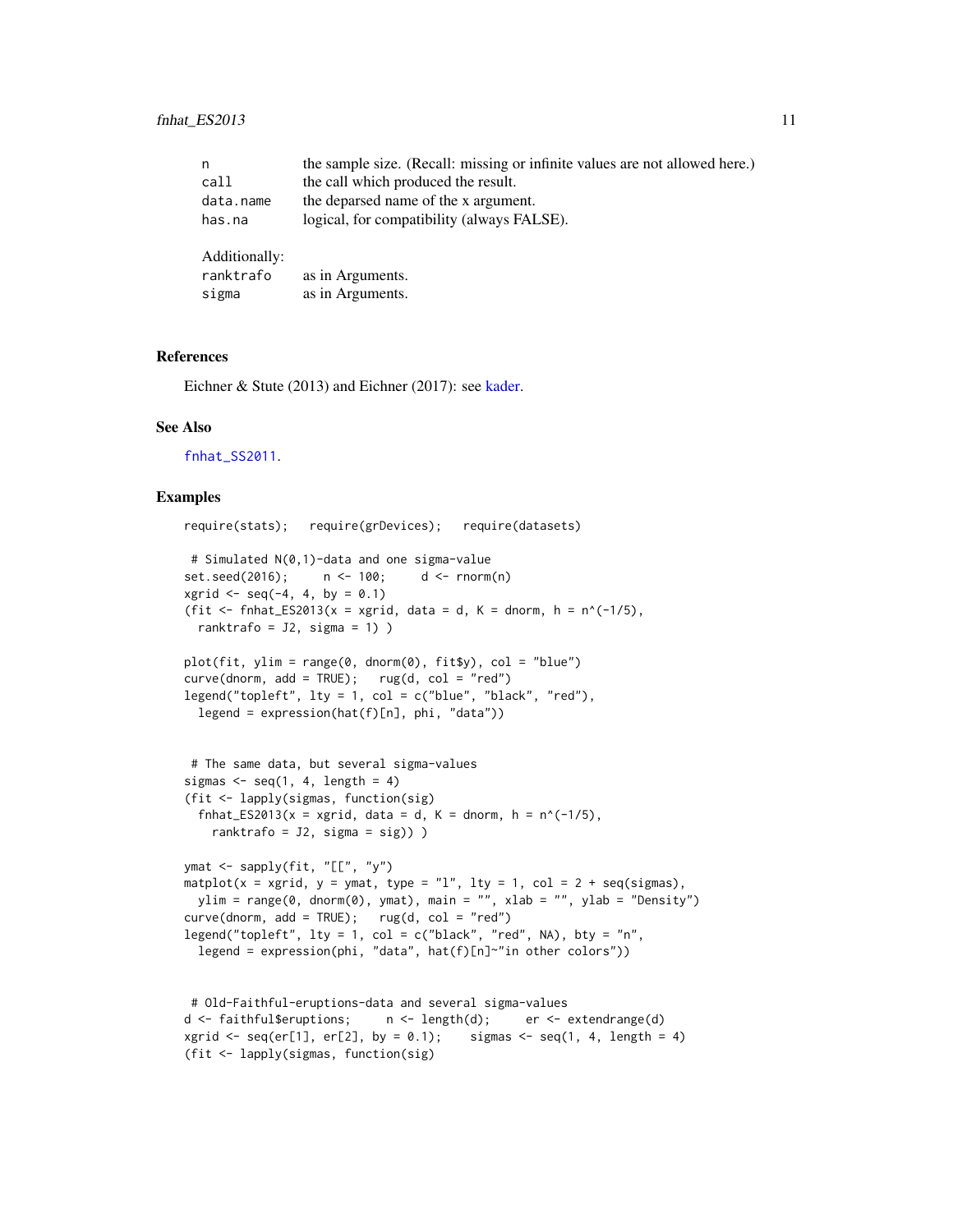<span id="page-10-0"></span>

| n             | the sample size. (Recall: missing or infinite values are not allowed here.) |
|---------------|-----------------------------------------------------------------------------|
| call          | the call which produced the result.                                         |
| data.name     | the deparsed name of the x argument.                                        |
| has.na        | logical, for compatibility (always FALSE).                                  |
| Additionally: |                                                                             |
| ranktrafo     | as in Arguments.                                                            |
| sigma         | as in Arguments.                                                            |

#### References

Eichner & Stute (2013) and Eichner (2017): see [kader.](#page-18-1)

#### See Also

[fnhat\\_SS2011](#page-11-1).

```
require(stats); require(grDevices); require(datasets)
# Simulated N(0,1)-data and one sigma-value
set.seed(2016); n <- 100; d <- rnorm(n)
xgrid \leq seq(-4, 4, by = 0.1)(fit \le fnhat_ES2013(x = xgrid, data = d, K = dnorm, h = n^(-1/5),
 ranktrafo = J2, sigma = 1) )
plot(fit, ylim = range(0, dnorm(0), fit$y), col = "blue")
curve(dnorm, add = TRUE); rug(d, col = "red")legend("topleft", lty = 1, col = c("blue", "black", "red"),legend = expression(hat(f)[n], phi, "data"))
# The same data, but several sigma-values
sigmas \leq seq(1, 4, length = 4)
(fit <- lapply(sigmas, function(sig)
 fnhat_ES2013(x = xgrid, data = d, K = dnorm, h = n^(-1/5),
   ranktrafo = J2, sigma = sig)) )
ymat <- sapply(fit, "[[", "y")
matplot(x = xgrid, y = ymat, type = "l", lty = 1, col = 2 + seq(sigmas),
 ylim = range(0, dnorm(0), ymat), main = "", xlab = "", ylab = "Density")
curve(dnorm, add = TRUE); rug(d, col = "red")legend("topleft", lty = 1, col = c("black", "red", NA), bty = "n",legend = expression(phi, "data", hat(f)[n]~"in other colors"))
# Old-Faithful-eruptions-data and several sigma-values
d <- faithful$eruptions; n <- length(d); er <- extendrange(d)
xgrid \leq seq(er[1], er[2], by = 0.1); sigmas \leq seq(1, 4, length = 4)
(fit <- lapply(sigmas, function(sig)
```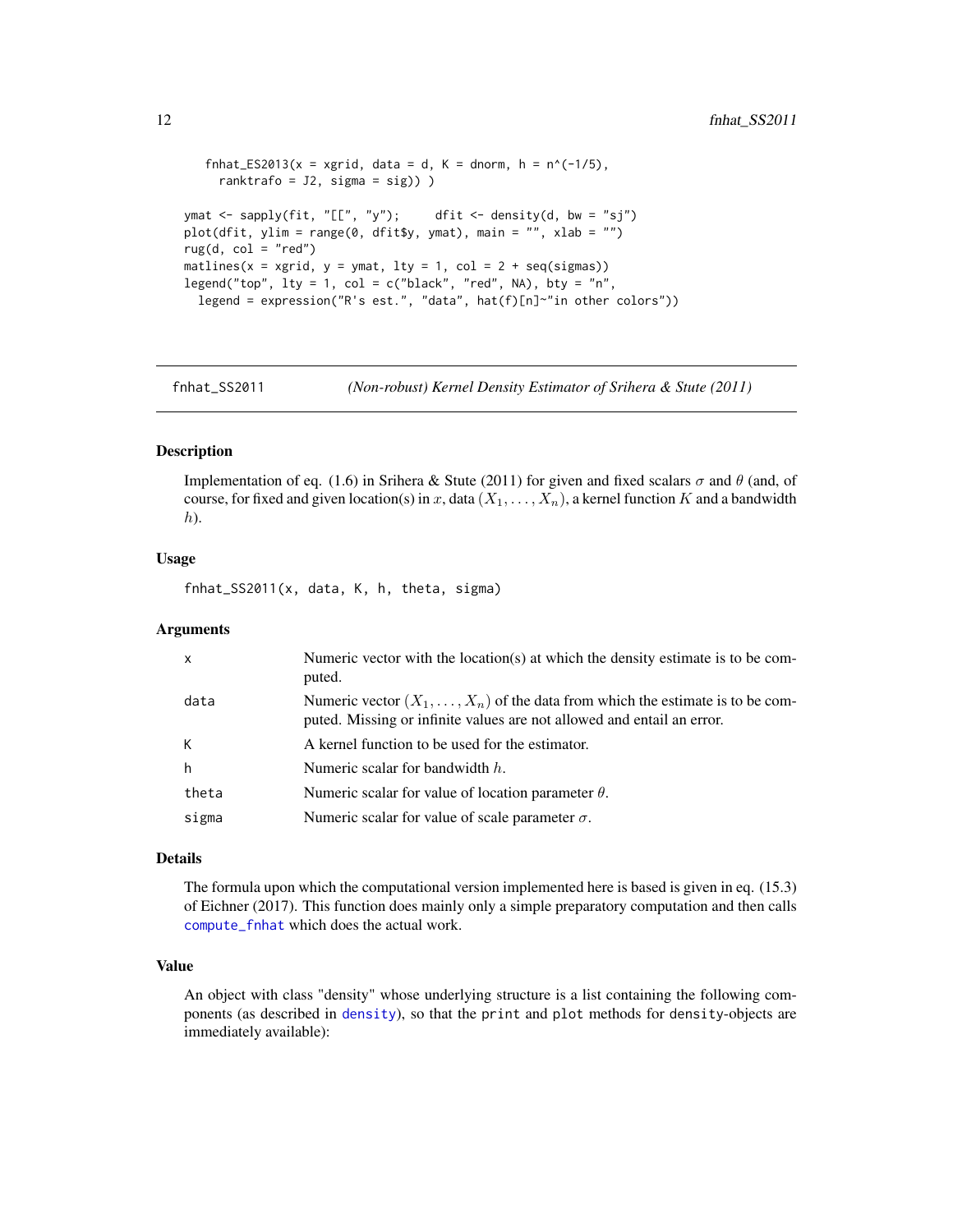```
fnhat_ES2013(x = xgrid, data = d, K = dnorm, h = n^(-1/5),
     ranktrafo = J2, sigma = sig)) )
ymat \leq sapply(fit, "[[", "y"); dfit \leq density(d, bw = "sj")
plot(dfit, ylim = range(0, dfit$y, ymat), main = "", xlab = "")
rug(d, col = "red")matlines(x = xgrid, y = ymat, lty = 1, col = 2 + seq(sigmas))
legend("top", lty = 1, col = c("black", "red", NA), bty = "n",legend = expression("R's est.", "data", hat(f)[n]~"in other colors"))
```
<span id="page-11-1"></span>

fnhat\_SS2011 *(Non-robust) Kernel Density Estimator of Srihera & Stute (2011)*

#### Description

Implementation of eq. (1.6) in Srihera & Stute (2011) for given and fixed scalars  $\sigma$  and  $\theta$  (and, of course, for fixed and given location(s) in x, data  $(X_1, \ldots, X_n)$ , a kernel function K and a bandwidth  $h$ ).

## Usage

fnhat\_SS2011(x, data, K, h, theta, sigma)

## Arguments

| x     | Numeric vector with the location(s) at which the density estimate is to be com-<br>puted.                                                                       |
|-------|-----------------------------------------------------------------------------------------------------------------------------------------------------------------|
| data  | Numeric vector $(X_1, \ldots, X_n)$ of the data from which the estimate is to be com-<br>puted. Missing or infinite values are not allowed and entail an error. |
| К     | A kernel function to be used for the estimator.                                                                                                                 |
| h     | Numeric scalar for bandwidth $h$ .                                                                                                                              |
| theta | Numeric scalar for value of location parameter $\theta$ .                                                                                                       |
| sigma | Numeric scalar for value of scale parameter $\sigma$ .                                                                                                          |

## Details

The formula upon which the computational version implemented here is based is given in eq. (15.3) of Eichner (2017). This function does mainly only a simple preparatory computation and then calls [compute\\_fnhat](#page-6-1) which does the actual work.

## Value

An object with class "density" whose underlying structure is a list containing the following components (as described in [density](#page-0-0)), so that the print and plot methods for density-objects are immediately available):

<span id="page-11-0"></span>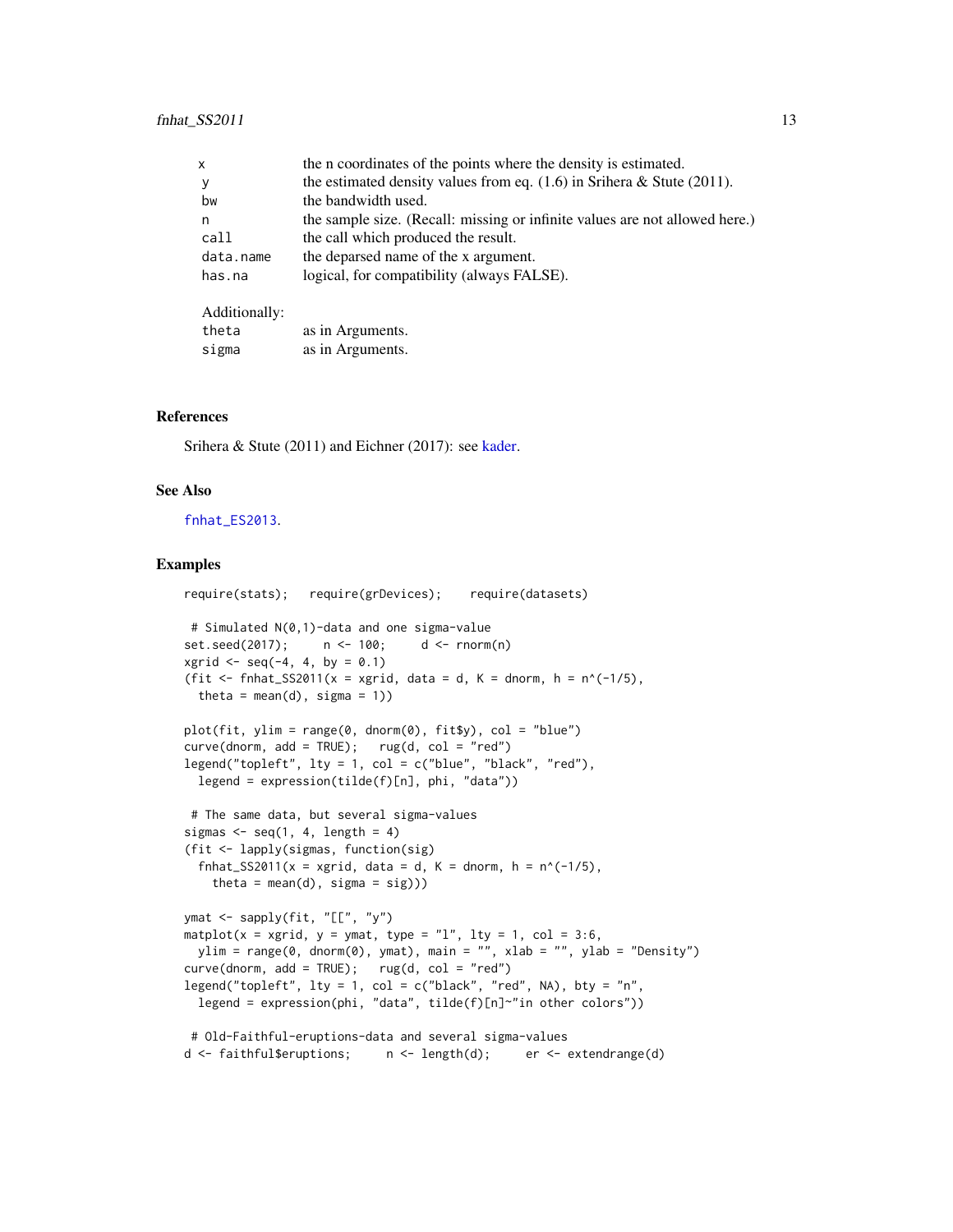<span id="page-12-0"></span>

| x             | the n coordinates of the points where the density is estimated.             |
|---------------|-----------------------------------------------------------------------------|
| y             | the estimated density values from eq. $(1.6)$ in Srihera & Stute $(2011)$ . |
| bw            | the bandwidth used.                                                         |
| n             | the sample size. (Recall: missing or infinite values are not allowed here.) |
| call          | the call which produced the result.                                         |
| data.name     | the deparsed name of the x argument.                                        |
| has.na        | logical, for compatibility (always FALSE).                                  |
| Additionally: |                                                                             |
| theta         | as in Arguments.                                                            |

#### References

Srihera & Stute (2011) and Eichner (2017): see [kader.](#page-18-1)

sigma as in Arguments.

#### See Also

[fnhat\\_ES2013](#page-9-1).

```
require(stats); require(grDevices); require(datasets)
# Simulated N(0,1)-data and one sigma-value
set.seed(2017); n <- 100; d <- rnorm(n)
xgrid \leq -seq(-4, 4, by = 0.1)(fit \le fnhat_SS2011(x = xgrid, data = d, K = dnorm, h = n^(-1/5),
 theta = mean(d), sigma = 1))
plot(fit, ylim = range(0, dnorm(0), fit$y), col = "blue")
curve(dnorm, add = TRUE); rug(d, col = "red")legend("topleft", lty = 1, col = c("blue", "black", "red"),
 legend = expression(tilde(f)[n], phi, "data"))
# The same data, but several sigma-values
sigmas \leq seq(1, 4, length = 4)
(fit <- lapply(sigmas, function(sig)
 fnhat_SS2011(x = xgrid, data = d, K = dnorm, h = n^(-1/5),
   theta = mean(d), sigma = sig)))
ymat <- sapply(fit, "[[", "y")
matplot(x = xgrid, y = ymat, type = "l", lty = 1, col = 3:6,
 ylim = range(0, dnorm(0), ymat), main = "", xlab = "", ylab = "Density")
curve(dnorm, add = TRUE); rug(d, col = "red")
legend("topleft", lty = 1, col = c("black", "red", NA), bty = "n",
 legend = expression(phi, "data", tilde(f)[n]~"in other colors"))
# Old-Faithful-eruptions-data and several sigma-values
d <- faithful$eruptions; n <- length(d); er <- extendrange(d)
```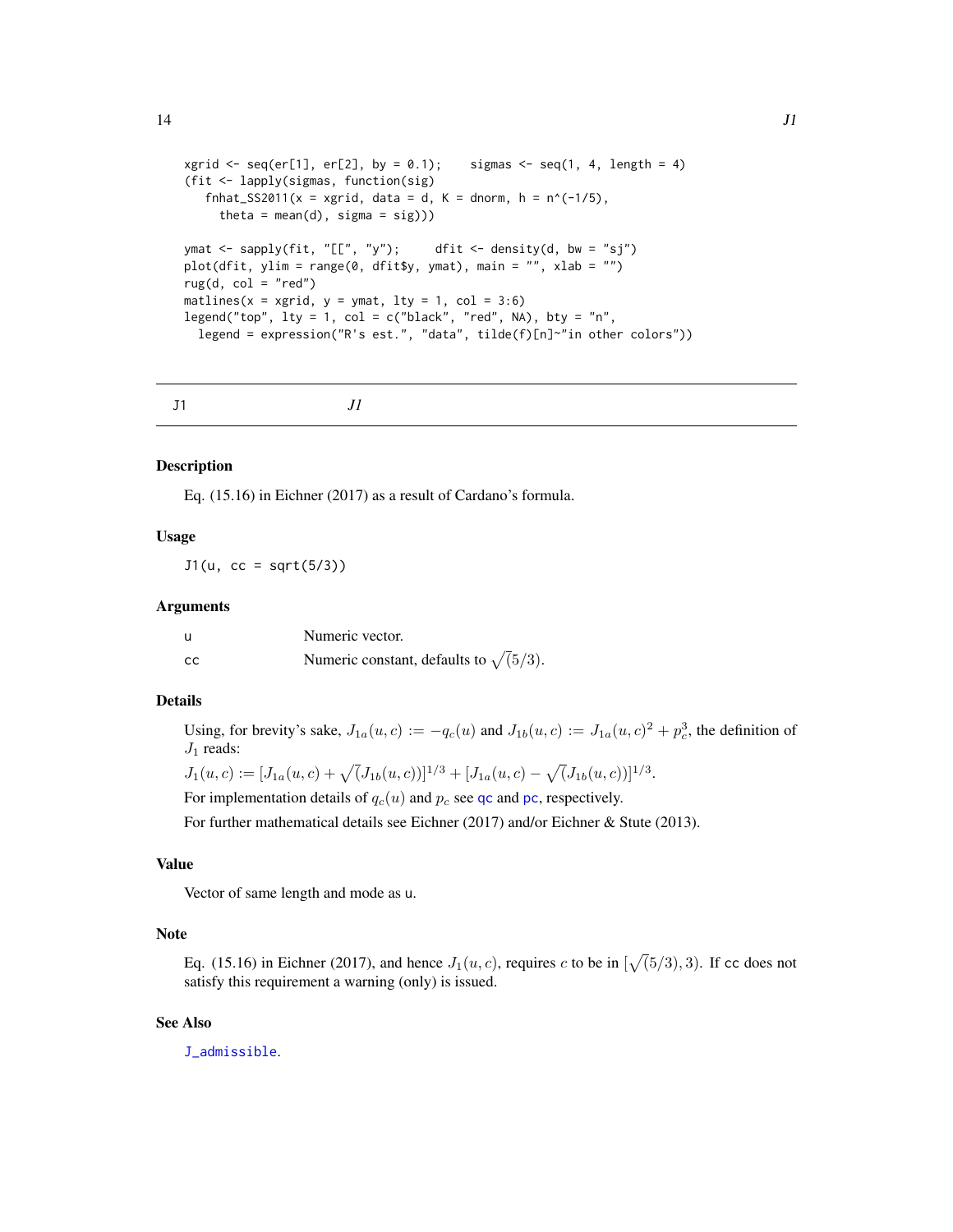```
xgrid \le seq(er[1], er[2], by = 0.1); sigmas \le seq(1, 4, length = 4)
(fit <- lapply(sigmas, function(sig)
   fnhat_SS2011(x = xgrid, data = d, K = dnorm, h = n^(-1/5),
     theta = mean(d), sigma = sig)))
ymat <- sapply(fit, "[[", "y"); dfit <- density(d, bw = "sj")
plot(dfit, ylim = range(0, dfit$y, ymat), main = "", xlab = "")
rug(d, col = "red")matlines(x = xgrid, y = ymat, lty = 1, col = 3:6)
legend("top", lty = 1, col = c("black", "red", NA), bty = "n",legend = expression("R's est.", "data", tilde(f)[n]~"in other colors"))
```
<span id="page-13-1"></span>

| Jl<br>J1 |
|----------|
|          |

#### Description

Eq. (15.16) in Eichner (2017) as a result of Cardano's formula.

## Usage

 $J1(u, cc = sqrt(5/3))$ 

#### **Arguments**

| u  | Numeric vector.                                |
|----|------------------------------------------------|
| cc | Numeric constant, defaults to $\sqrt{(5/3)}$ . |

## Details

Using, for brevity's sake,  $J_{1a}(u, c) := -q_c(u)$  and  $J_{1b}(u, c) := J_{1a}(u, c)^2 + p_c^3$ , the definition of  $J_1$  reads:

$$
J_1(u,c):=[J_{1a}(u,c)+\sqrt(J_{1b}(u,c))]^{1/3}+[J_{1a}(u,c)-\sqrt(J_{1b}(u,c))]^{1/3}.
$$

For implementation details of  $q_c(u)$  and  $p_c$  see [qc](#page-28-1) and [pc](#page-27-1), respectively.

For further mathematical details see Eichner (2017) and/or Eichner & Stute (2013).

## Value

Vector of same length and mode as u.

## Note

Eq. (15.16) in Eichner (2017), and hence  $J_1(u, c)$ , requires c to be in  $[\sqrt{(5/3)}, 3)$ . If cc does not satisfy this requirement a warning (only) is issued.

## See Also

[J\\_admissible](#page-15-1).

<span id="page-13-0"></span> $14$  J1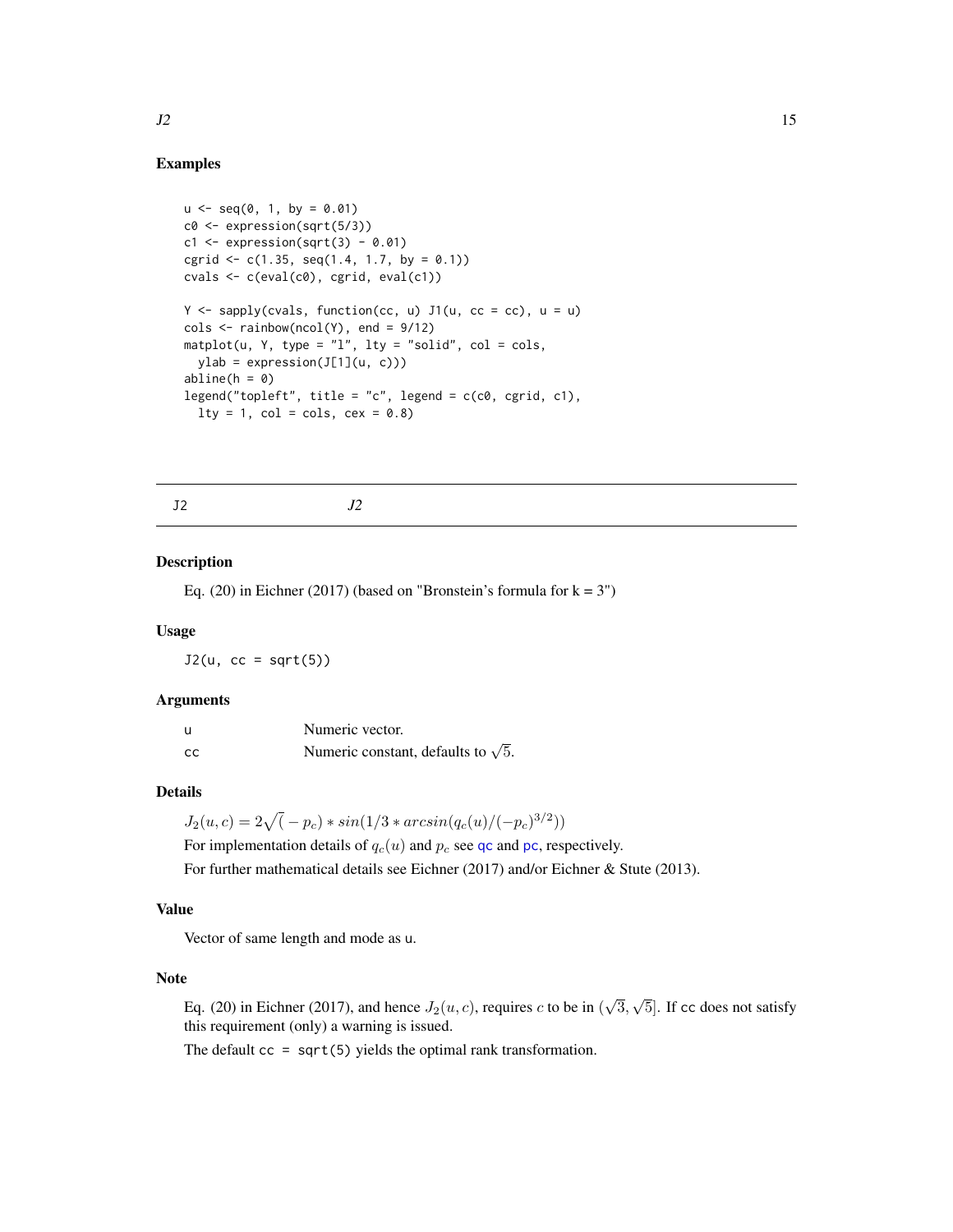## Examples

```
u \le - seq(0, 1, by = 0.01)
c0 \leftarrow expression(sqrt(5/3))
c1 \leftarrow expression(sqrt(3) - 0.01)cgrid \leq c(1.35, \text{seq}(1.4, 1.7, \text{ by } = 0.1))cvals \leftarrow c(eval(c0), cgrid, eval(c1))Y \leq - sapply(cvals, function(cc, u) J1(u, cc = cc), u = u)
\text{cols} \leq \text{rainbow}(\text{ncol}(Y), \text{end} = \frac{9}{12}matplot(u, Y, type = "l", lty = "solid", col = <sub>cols</sub>,
  ylab = expression(J[1](u, c)))
abline(h = 0)legend("topleft", title = "c", legend = c(c0, cgrid, c1),
  lty = 1, col = <math>cols</math>, <math>cex = 0.8</math>)
```
<span id="page-14-1"></span>J2 *J2*

#### Description

Eq. (20) in Eichner (2017) (based on "Bronstein's formula for  $k = 3$ ")

#### Usage

 $J2(u, cc = sqrt(5))$ 

#### Arguments

| u  | Numeric vector.                            |
|----|--------------------------------------------|
| cc | Numeric constant, defaults to $\sqrt{5}$ . |

#### Details

 $J_2(u, c) = 2\sqrt{(-p_c)} * sin(1/3 * arcsin(q_c(u)/(-p_c)^{3/2}))$ 

For implementation details of  $q_c(u)$  and  $p_c$  see [qc](#page-28-1) and [pc](#page-27-1), respectively. For further mathematical details see Eichner (2017) and/or Eichner & Stute (2013).

#### Value

Vector of same length and mode as u.

## Note

Eq. (20) in Eichner (2017), and hence  $J_2(u, c)$ , requires c to be in ( √ 3, √ 5]. If cc does not satisfy this requirement (only) a warning is issued.

The default  $cc = sqrt(5)$  yields the optimal rank transformation.

<span id="page-14-0"></span> $J2 \hspace{0.2cm}$  15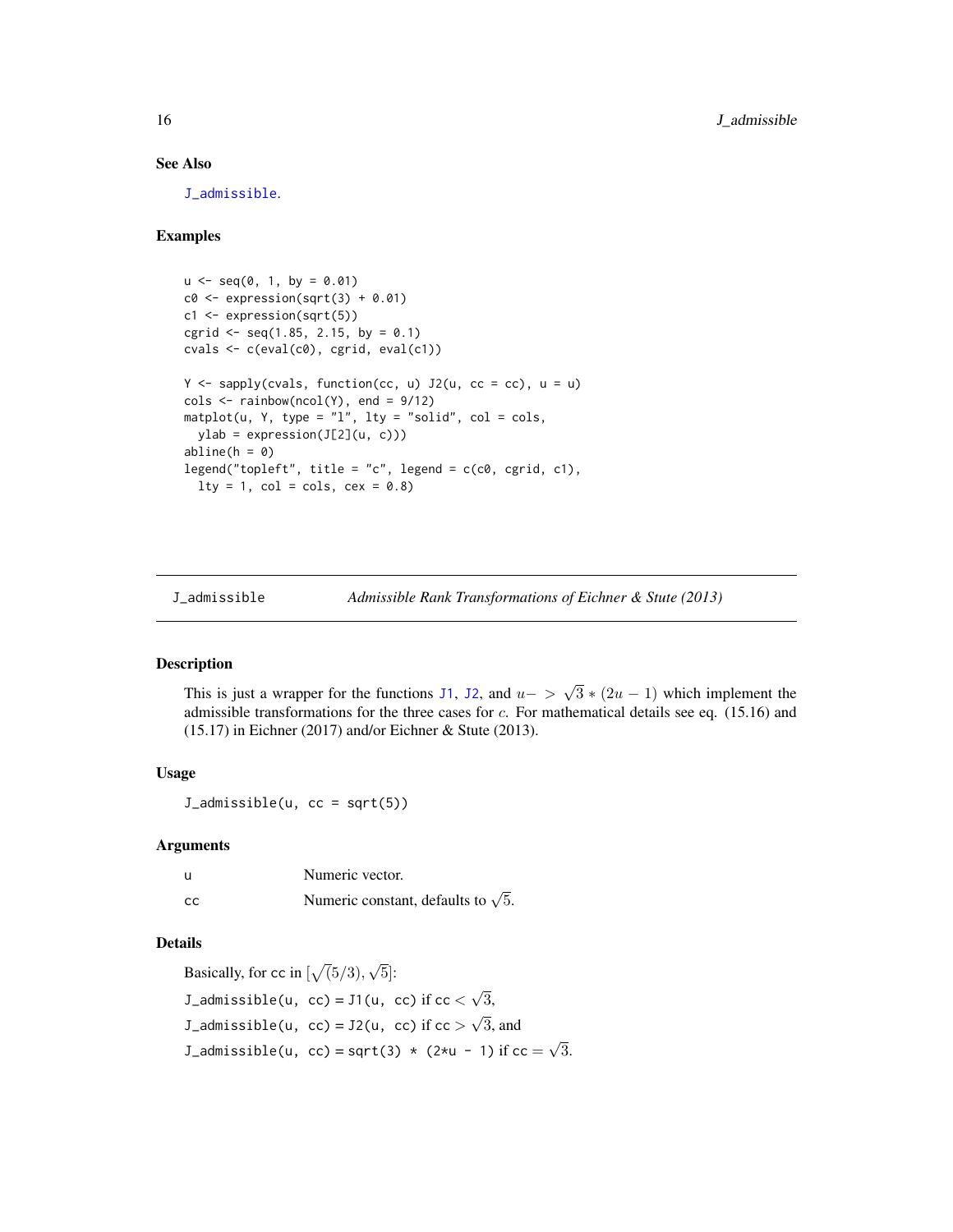## See Also

J admissible.

## Examples

```
u \leq -\text{seq}(0, 1, \text{ by } = 0.01)c0 \leq - expression(sqrt(3) + 0.01)
c1 <- expression(sqrt(5))
cgrid \leq seq(1.85, 2.15, by = 0.1)
cvals \leftarrow c(eval(c0), cgrid, eval(c1))Y <- sapply(cvals, function(cc, u) J2(u, cc = cc), u = u)
\text{cols} \leq \text{rainbow}(\text{ncol}(Y), \text{ end} = 9/12)matplot(u, Y, type = "l", lty = "solid", col = <sub>cols</sub>,
  ylab = expression(J[2](u, c)))
abline(h = 0)legend("topleft", title = "c", legend = c(c0, cgrid, c1),
  lty = 1, col = <math>cols</math>, <math>cex = 0.8</math>)
```
<span id="page-15-1"></span>J\_admissible *Admissible Rank Transformations of Eichner & Stute (2013)*

#### Description

This is just a wrapper for the functions [J1](#page-13-1), [J2](#page-14-1), and  $u-$ √  $3*(2u-1)$  which implement the admissible transformations for the three cases for  $c$ . For mathematical details see eq. (15.16) and (15.17) in Eichner (2017) and/or Eichner & Stute (2013).

#### Usage

J\_admissible(u, cc = sqrt(5))

#### Arguments

| -u            | Numeric vector.                            |
|---------------|--------------------------------------------|
| <sub>cc</sub> | Numeric constant, defaults to $\sqrt{5}$ . |

#### Details

Basically, for cc in  $\lbrack \sqrt(5/3), \rbrack$ √ 5]: J\_admissible(u, cc) =  $J1(u, cc)$  if cc < √ 3, J\_admissible(u, cc) =  $J2(u, cc)$  if cc  $>$ √ 3, and J\_admissible(u, cc) = sqrt(3)  $\star$  (2 $\star$ u - 1) if cc = √ 3.

<span id="page-15-0"></span>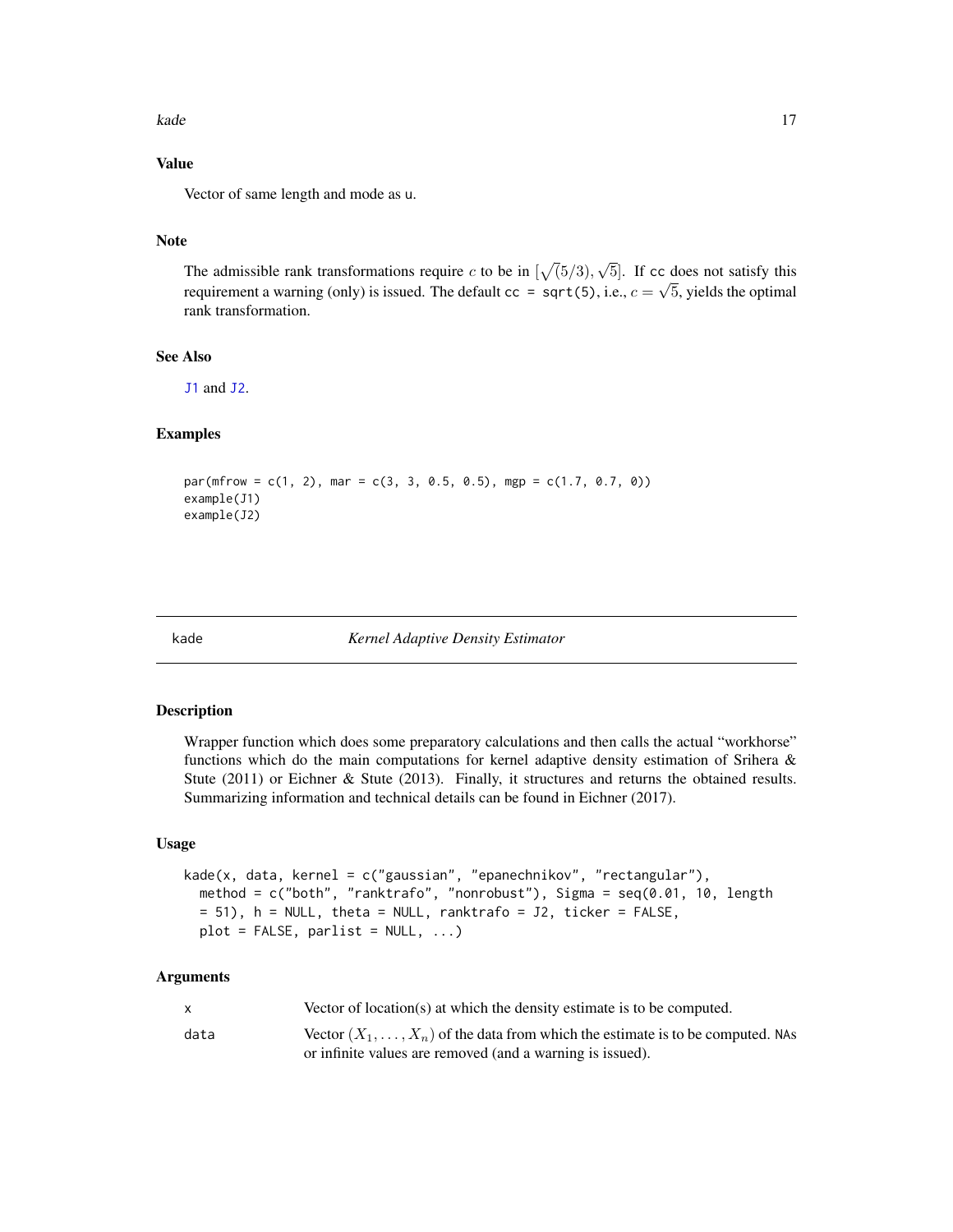<span id="page-16-0"></span>kade 17 metatra. 17 metatra 17 metatra 17 metatra 17 metatra 17 metatra 17 metatra 17 metatra 17 metatra 17 metatra 17 metatra 17 metatra 17 metatra 17 metatra 17 metatra 17 metatra 17 metatra 17 metatra 17 metatra 17 meta

## Value

Vector of same length and mode as u.

## Note

The admissible rank transformations require c to be in  $[\sqrt{(5/3)},$ √ 5. If cc does not satisfy this requirement a warning (only) is issued. The default  $cc = sqrt(5)$ , i.e.,  $c = \sqrt{5}$ , yields the optimal rank transformation.

## See Also

[J1](#page-13-1) and [J2](#page-14-1).

## Examples

```
par(mfrow = c(1, 2), mar = c(3, 3, 0.5, 0.5), mgp = c(1.7, 0.7, 0))example(J1)
example(J2)
```
kade *Kernel Adaptive Density Estimator*

#### Description

Wrapper function which does some preparatory calculations and then calls the actual "workhorse" functions which do the main computations for kernel adaptive density estimation of Srihera & Stute (2011) or Eichner & Stute (2013). Finally, it structures and returns the obtained results. Summarizing information and technical details can be found in Eichner (2017).

## Usage

```
kade(x, data, kernel = c("gaussian", "epanechnikov", "rectangular"),
 method = c("both", "ranktrafo", "nonrobust"), Sigma = seq(0.01, 10, length
 = 51), h = NULL, theta = NULL, ranktrafo = J2, ticker = FALSE,
 plot = FALSE, parlist = NULL, ...)
```
## Arguments

|      | Vector of location(s) at which the density estimate is to be computed.                 |
|------|----------------------------------------------------------------------------------------|
| data | Vector $(X_1, \ldots, X_n)$ of the data from which the estimate is to be computed. NAs |
|      | or infinite values are removed (and a warning is issued).                              |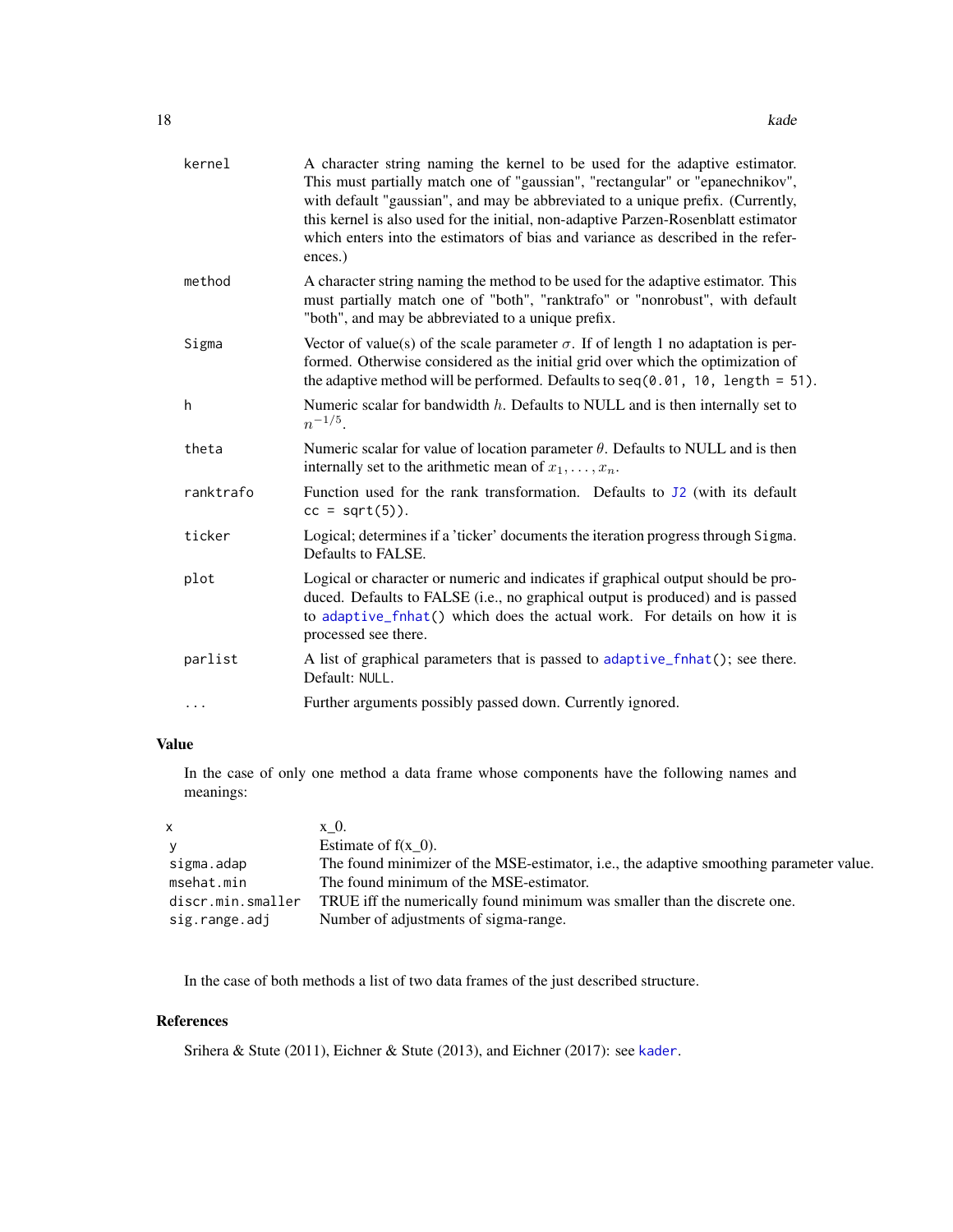<span id="page-17-0"></span>

| kernel    | A character string naming the kernel to be used for the adaptive estimator.<br>This must partially match one of "gaussian", "rectangular" or "epanechnikov",<br>with default "gaussian", and may be abbreviated to a unique prefix. (Currently,<br>this kernel is also used for the initial, non-adaptive Parzen-Rosenblatt estimator<br>which enters into the estimators of bias and variance as described in the refer-<br>ences.) |
|-----------|--------------------------------------------------------------------------------------------------------------------------------------------------------------------------------------------------------------------------------------------------------------------------------------------------------------------------------------------------------------------------------------------------------------------------------------|
| method    | A character string naming the method to be used for the adaptive estimator. This<br>must partially match one of "both", "ranktrafo" or "nonrobust", with default<br>"both", and may be abbreviated to a unique prefix.                                                                                                                                                                                                               |
| Sigma     | Vector of value(s) of the scale parameter $\sigma$ . If of length 1 no adaptation is per-<br>formed. Otherwise considered as the initial grid over which the optimization of<br>the adaptive method will be performed. Defaults to $seq(0.01, 10, length = 51)$ .                                                                                                                                                                    |
| h         | Numeric scalar for bandwidth $h$ . Defaults to NULL and is then internally set to<br>$n^{-1/5}$ .                                                                                                                                                                                                                                                                                                                                    |
| theta     | Numeric scalar for value of location parameter $\theta$ . Defaults to NULL and is then<br>internally set to the arithmetic mean of $x_1, \ldots, x_n$ .                                                                                                                                                                                                                                                                              |
| ranktrafo | Function used for the rank transformation. Defaults to J2 (with its default<br>$cc = sqrt(5)$ ).                                                                                                                                                                                                                                                                                                                                     |
| ticker    | Logical; determines if a 'ticker' documents the iteration progress through Sigma.<br>Defaults to FALSE.                                                                                                                                                                                                                                                                                                                              |
| plot      | Logical or character or numeric and indicates if graphical output should be pro-<br>duced. Defaults to FALSE (i.e., no graphical output is produced) and is passed<br>to adaptive_fnhat() which does the actual work. For details on how it is<br>processed see there.                                                                                                                                                               |
| parlist   | A list of graphical parameters that is passed to adaptive_fnhat(); see there.<br>Default: NULL.                                                                                                                                                                                                                                                                                                                                      |
| .         | Further arguments possibly passed down. Currently ignored.                                                                                                                                                                                                                                                                                                                                                                           |

## Value

In the case of only one method a data frame whose components have the following names and meanings:

| $\mathsf{X}$      | x 0.                                                                                    |
|-------------------|-----------------------------------------------------------------------------------------|
| <b>V</b>          | Estimate of $f(x \ 0)$ .                                                                |
| sigma.adap        | The found minimizer of the MSE-estimator, i.e., the adaptive smoothing parameter value. |
| msehat.min        | The found minimum of the MSE-estimator.                                                 |
| discr.min.smaller | TRUE iff the numerically found minimum was smaller than the discrete one.               |
| sig.range.adj     | Number of adjustments of sigma-range.                                                   |

In the case of both methods a list of two data frames of the just described structure.

## References

Srihera & Stute (2011), Eichner & Stute (2013), and Eichner (2017): see [kader](#page-18-1).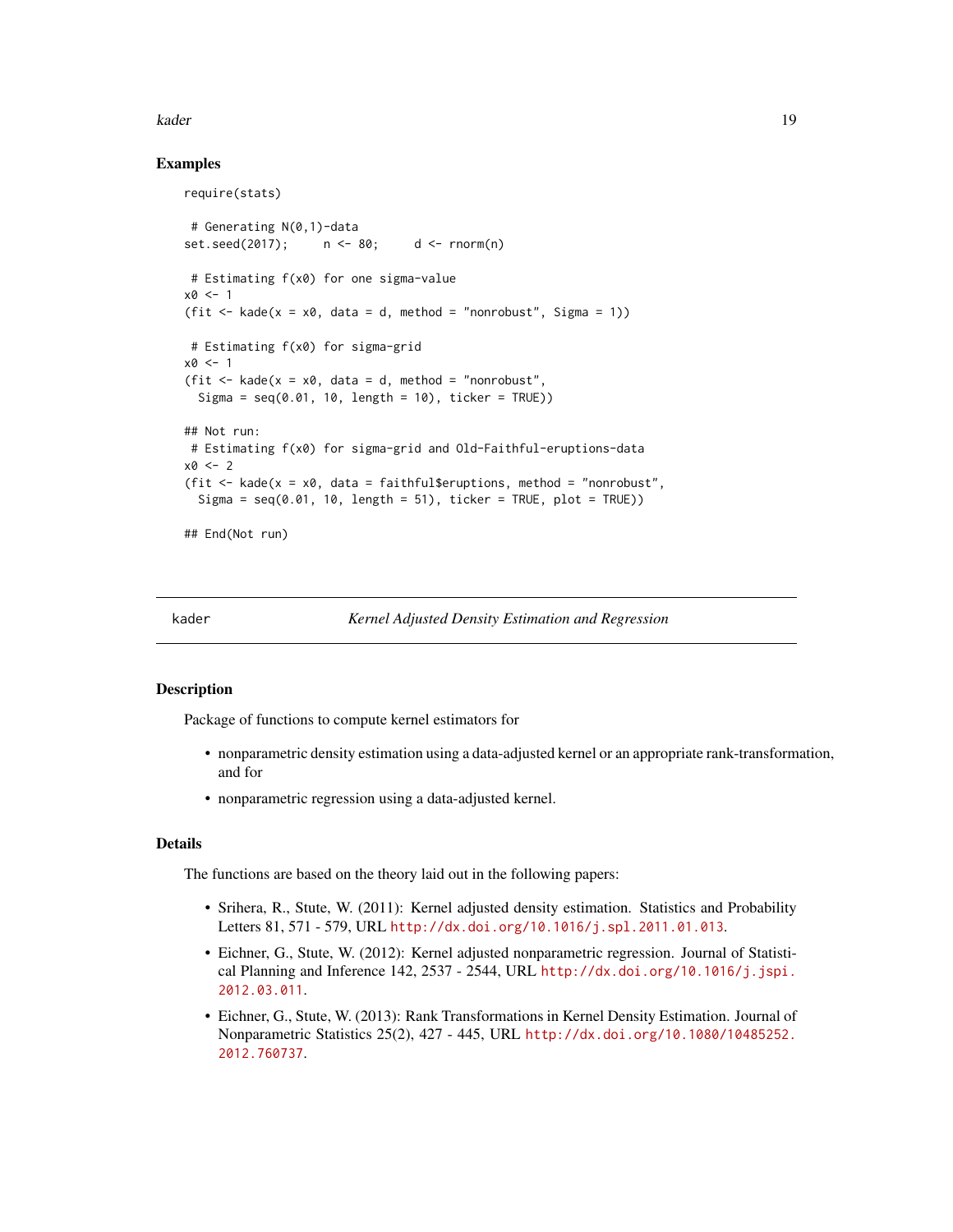#### <span id="page-18-0"></span>kader 19

## Examples

```
require(stats)
# Generating N(0,1)-data
set.seed(2017); n <- 80; d <- rnorm(n)
# Estimating f(x0) for one sigma-value
x0 < -1(fit \le kade(x = x0, data = d, method = "nonrobust", Sigma = 1))
# Estimating f(x0) for sigma-grid
x0 < -1(fit \le kade(x = x0, data = d, method = "nonrobust",
 Sigma = seq(0.01, 10, length = 10), ticker = TRUE))
## Not run:
# Estimating f(x0) for sigma-grid and Old-Faithful-eruptions-data
x0 < -2(fit \le kade(x = x0, data = faithful$eruptions, method = "nonrobust",
 Sigma = seq(0.01, 10, length = 51), ticker = TRUE, plot = TRUE))
## End(Not run)
```
<span id="page-18-1"></span>

kader *Kernel Adjusted Density Estimation and Regression*

## **Description**

Package of functions to compute kernel estimators for

- nonparametric density estimation using a data-adjusted kernel or an appropriate rank-transformation, and for
- nonparametric regression using a data-adjusted kernel.

#### Details

The functions are based on the theory laid out in the following papers:

- Srihera, R., Stute, W. (2011): Kernel adjusted density estimation. Statistics and Probability Letters 81, 571 - 579, URL <http://dx.doi.org/10.1016/j.spl.2011.01.013>.
- Eichner, G., Stute, W. (2012): Kernel adjusted nonparametric regression. Journal of Statistical Planning and Inference 142, 2537 - 2544, URL [http://dx.doi.org/10.1016/j.jspi.](http://dx.doi.org/10.1016/j.jspi.2012.03.011) [2012.03.011](http://dx.doi.org/10.1016/j.jspi.2012.03.011).
- Eichner, G., Stute, W. (2013): Rank Transformations in Kernel Density Estimation. Journal of Nonparametric Statistics 25(2), 427 - 445, URL [http://dx.doi.org/10.1080/10485252.](http://dx.doi.org/10.1080/10485252.2012.760737) [2012.760737](http://dx.doi.org/10.1080/10485252.2012.760737).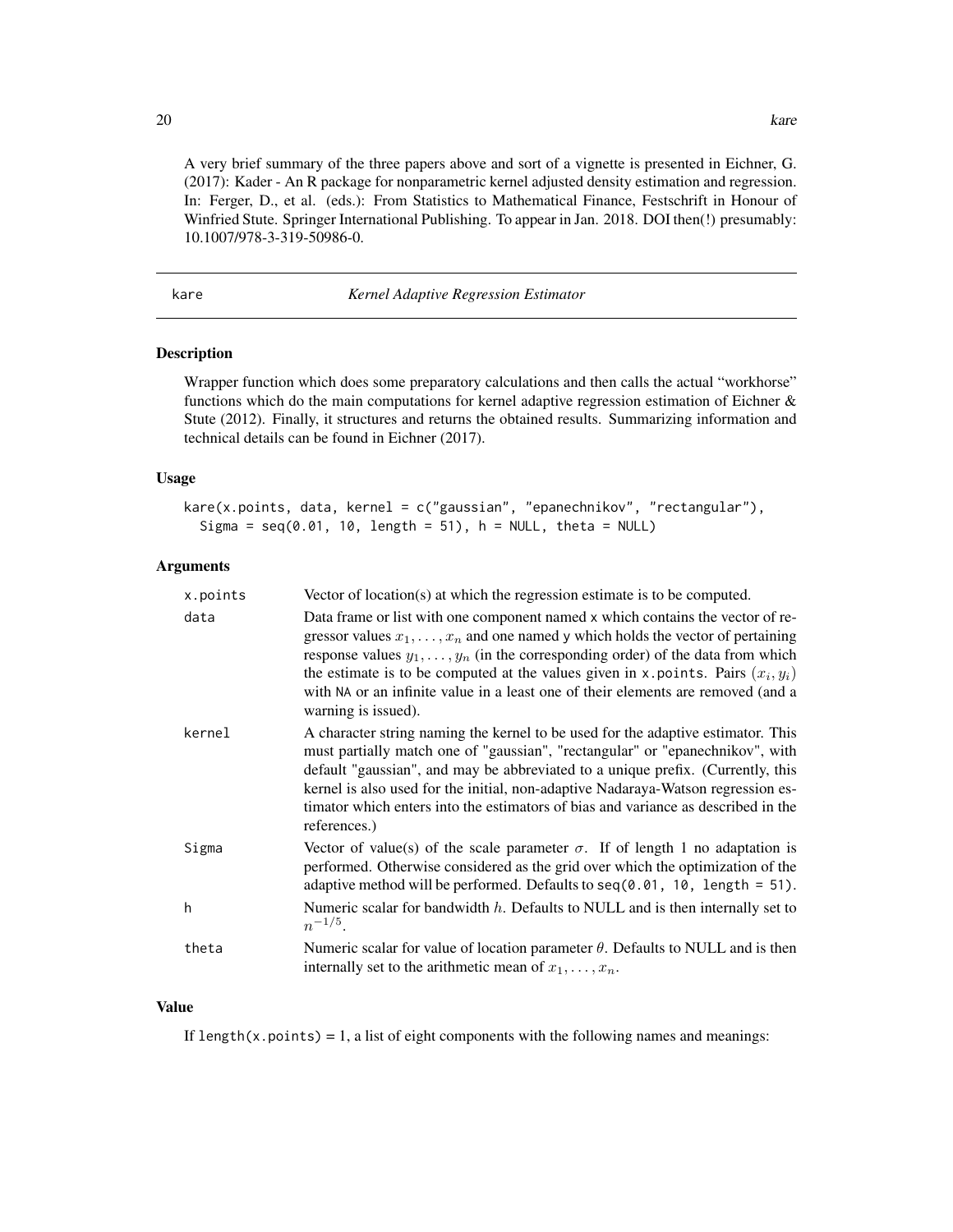<span id="page-19-0"></span>A very brief summary of the three papers above and sort of a vignette is presented in Eichner, G. (2017): Kader - An R package for nonparametric kernel adjusted density estimation and regression. In: Ferger, D., et al. (eds.): From Statistics to Mathematical Finance, Festschrift in Honour of Winfried Stute. Springer International Publishing. To appear in Jan. 2018. DOI then(!) presumably: 10.1007/978-3-319-50986-0.

<span id="page-19-1"></span>kare *Kernel Adaptive Regression Estimator*

#### **Description**

Wrapper function which does some preparatory calculations and then calls the actual "workhorse" functions which do the main computations for kernel adaptive regression estimation of Eichner & Stute (2012). Finally, it structures and returns the obtained results. Summarizing information and technical details can be found in Eichner (2017).

## Usage

kare(x.points, data, kernel = c("gaussian", "epanechnikov", "rectangular"), Sigma =  $seq(0.01, 10, length = 51)$ ,  $h = NULL$ , theta = NULL)

## Arguments

| x.points | Vector of location(s) at which the regression estimate is to be computed.                                                                                                                                                                                                                                                                                                                                                                                            |
|----------|----------------------------------------------------------------------------------------------------------------------------------------------------------------------------------------------------------------------------------------------------------------------------------------------------------------------------------------------------------------------------------------------------------------------------------------------------------------------|
| data     | Data frame or list with one component named x which contains the vector of re-<br>gressor values $x_1, \ldots, x_n$ and one named y which holds the vector of pertaining<br>response values $y_1, \ldots, y_n$ (in the corresponding order) of the data from which<br>the estimate is to be computed at the values given in x. points. Pairs $(x_i, y_i)$<br>with NA or an infinite value in a least one of their elements are removed (and a<br>warning is issued). |
| kernel   | A character string naming the kernel to be used for the adaptive estimator. This<br>must partially match one of "gaussian", "rectangular" or "epanechnikov", with<br>default "gaussian", and may be abbreviated to a unique prefix. (Currently, this<br>kernel is also used for the initial, non-adaptive Nadaraya-Watson regression es-<br>timator which enters into the estimators of bias and variance as described in the<br>references.)                        |
| Sigma    | Vector of value(s) of the scale parameter $\sigma$ . If of length 1 no adaptation is<br>performed. Otherwise considered as the grid over which the optimization of the<br>adaptive method will be performed. Defaults to $seq(0.01, 10, length = 51)$ .                                                                                                                                                                                                              |
| h        | Numeric scalar for bandwidth $h$ . Defaults to NULL and is then internally set to<br>$n^{-1/5}$ .                                                                                                                                                                                                                                                                                                                                                                    |
| theta    | Numeric scalar for value of location parameter $\theta$ . Defaults to NULL and is then<br>internally set to the arithmetic mean of $x_1, \ldots, x_n$ .                                                                                                                                                                                                                                                                                                              |

#### Value

If length(x.points) = 1, a list of eight components with the following names and meanings: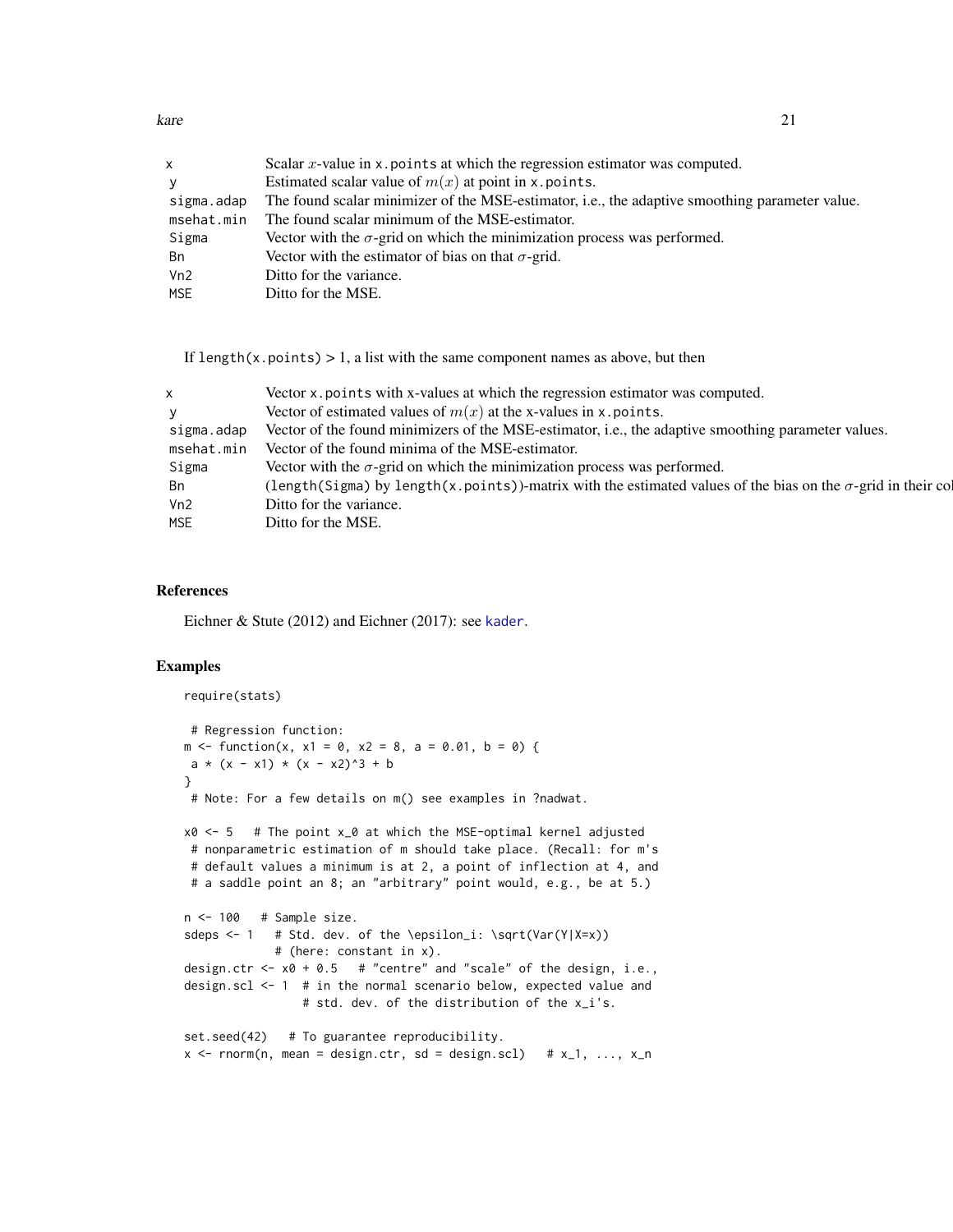<span id="page-20-0"></span>kare 21 and 22 and 22 and 22 and 22 and 22 and 22 and 22 and 22 and 22 and 22 and 22 and 22 and 22 and 22 and 22 and 22 and 22 and 22 and 22 and 22 and 22 and 22 and 22 and 22 and 22 and 22 and 22 and 22 and 22 and 22 and

| x          | Scalar $x$ -value in x points at which the regression estimator was computed.                  |
|------------|------------------------------------------------------------------------------------------------|
| <b>V</b>   | Estimated scalar value of $m(x)$ at point in x. points.                                        |
| sigma.adap | The found scalar minimizer of the MSE-estimator, i.e., the adaptive smoothing parameter value. |
| msehat.min | The found scalar minimum of the MSE-estimator.                                                 |
| Sigma      | Vector with the $\sigma$ -grid on which the minimization process was performed.                |
| Bn         | Vector with the estimator of bias on that $\sigma$ -grid.                                      |
| Vn2        | Ditto for the variance.                                                                        |
| <b>MSE</b> | Ditto for the MSE.                                                                             |

If length(x.points)  $> 1$ , a list with the same component names as above, but then

| X.         | Vector x points with x-values at which the regression estimator was computed.                                       |
|------------|---------------------------------------------------------------------------------------------------------------------|
| V          | Vector of estimated values of $m(x)$ at the x-values in x. points.                                                  |
| sigma.adap | Vector of the found minimizers of the MSE-estimator, i.e., the adaptive smoothing parameter values.                 |
| msehat.min | Vector of the found minima of the MSE-estimator.                                                                    |
| Sigma      | Vector with the $\sigma$ -grid on which the minimization process was performed.                                     |
| - Bn       | (length(Sigma) by length(x.points))-matrix with the estimated values of the bias on the $\sigma$ -grid in their col |
| Vn2        | Ditto for the variance.                                                                                             |
| <b>MSE</b> | Ditto for the MSE.                                                                                                  |

## References

Eichner & Stute (2012) and Eichner (2017): see [kader](#page-18-1).

```
require(stats)
 # Regression function:
m \le function(x, x1 = 0, x2 = 8, a = 0.01, b = 0) {
a * (x - x1) * (x - x2)^3 + b}
 # Note: For a few details on m() see examples in ?nadwat.
x0 \le -5 # The point x_0 at which the MSE-optimal kernel adjusted
 # nonparametric estimation of m should take place. (Recall: for m's
 # default values a minimum is at 2, a point of inflection at 4, and
 # a saddle point an 8; an "arbitrary" point would, e.g., be at 5.)
n <- 100 # Sample size.
sdeps <-1 # Std. dev. of the \epsilon_i: \sqrt(Var(Y|X=x))
            # (here: constant in x).
design.ctr \leq -x0 + 0.5 # "centre" and "scale" of the design, i.e.,
design.scl <- 1 # in the normal scenario below, expected value and
                 # std. dev. of the distribution of the x_i's.
set.seed(42) # To guarantee reproducibility.
x \le rnorm(n, mean = design.ctr, sd = design.scl) # x_1, \ldots, x_n
```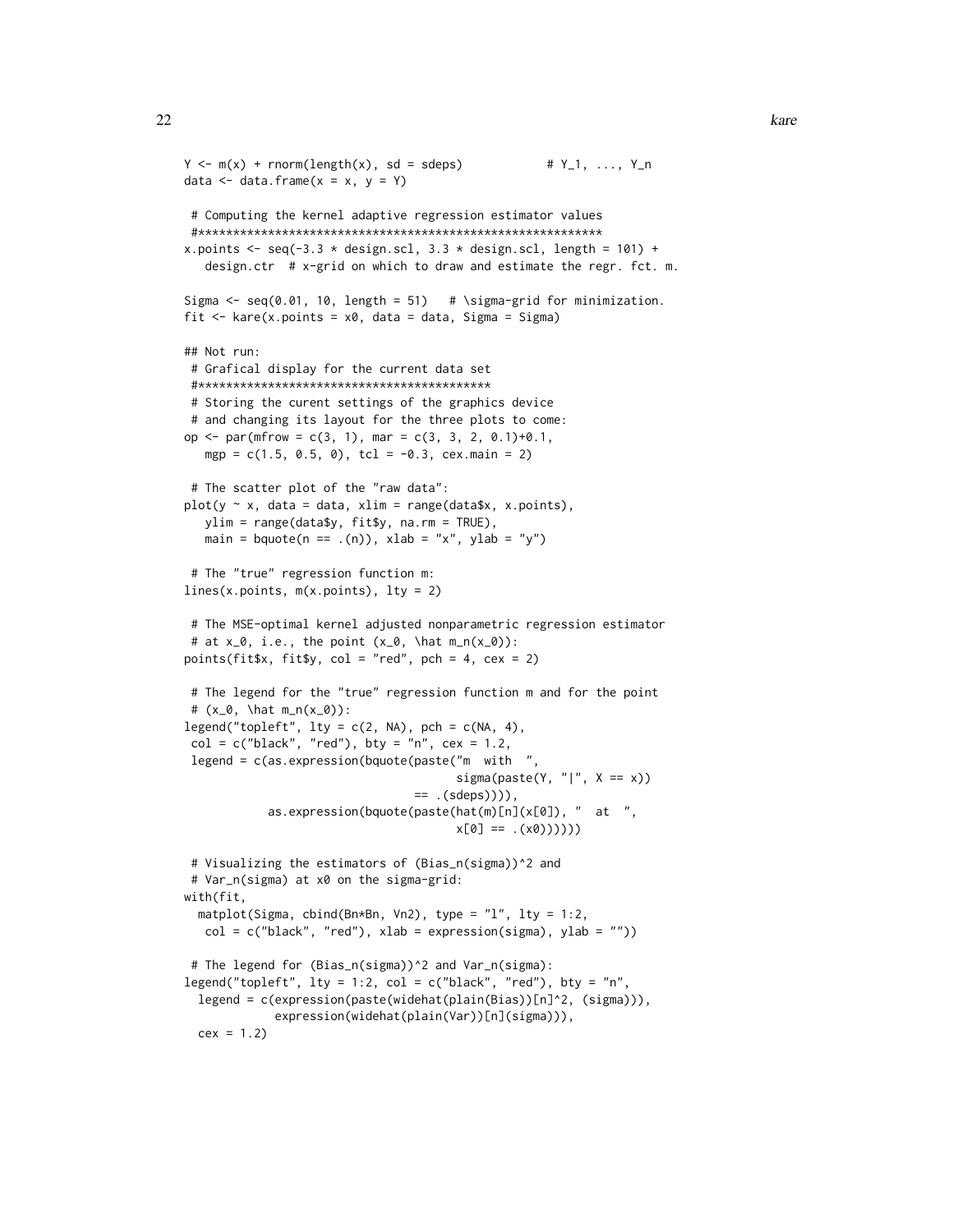```
Y \le m(x) + rnorm(length(x), sd = sdeps) # Y_1, \ldots, Y_ndata \leq data.frame(x = x, y = Y)
# Computing the kernel adaptive regression estimator values
#**********************************************************
x.points \leq seq(-3.3 \star design.scl, 3.3 \star design.scl, length = 101) +
  design.ctr # x-grid on which to draw and estimate the regr. fct. m.
Sigma \leq seq(0.01, 10, length = 51) # \sigma-grid for minimization.
fit \le kare(x.points = x0, data = data, Sigma = Sigma)
## Not run:
# Grafical display for the current data set
#******************************************
# Storing the curent settings of the graphics device
# and changing its layout for the three plots to come:
op <- par(mfrow = c(3, 1), mar = c(3, 3, 2, 0.1)+0.1,
  mgp = c(1.5, 0.5, 0), tcl = -0.3, cex.main = 2)
 # The scatter plot of the "raw data":
plot(y \sim x, data = data, xlim = range(data*x, x.points),ylim = range(data$y, fit$y, na.rm = TRUE),
  main = bquote(n == .(n)), xlab = "x", ylab = "y")
# The "true" regression function m:
lines(x.points, m(x.points), lty = 2)# The MSE-optimal kernel adjusted nonparametric regression estimator
# at x_0, i.e., the point (x_0, \hat{m}_n(x_0)):
points(fit$x, fit$y, col = "red", pch = 4, cex = 2)
 # The legend for the "true" regression function m and for the point
 # (x_0, \hat m_n(x_0)):
legend("topleft", lty = c(2, NA), pch = c(NA, 4),col = c("black", "red"), bty = "n", cex = 1.2,
legend = c(as.expression(bquote(paste("m with "sigma(paste(Y, "|", X == x))
                                 == .(steps)),
           as.expression(bquote(paste(hat(m)[n](x[0]), " at ",
                                       x[0] == .(x0)))))# Visualizing the estimators of (Bias_n(sigma))^2 and
 # Var_n(sigma) at x0 on the sigma-grid:
with(fit,
 matplot(Sigma, cbind(Bn*Bn, Vn2), type = "l", lty = 1:2,col = c("black", "red"), xlab = expression(sigma), ylab = ""))# The legend for (Bias_n(sigma))^2 and Var_n(sigma):
legend("topleft", lty = 1:2, col = c("black", "red"), bty = "n",legend = c(expression(paste(widehat(plain(Bias))[n]^2, (sigma))),
            expression(widehat(plain(Var))[n](sigma))),
 cex = 1.2
```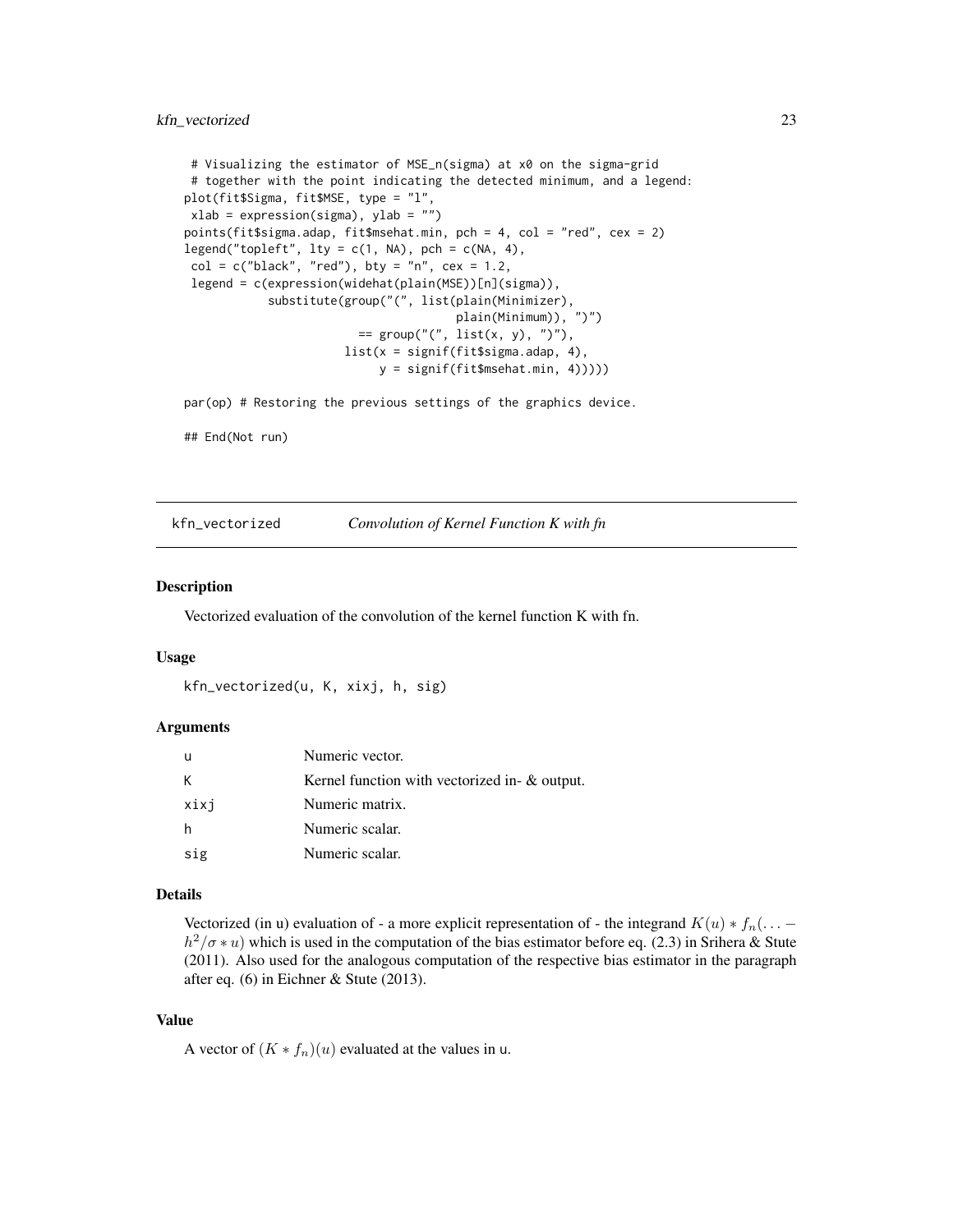```
# Visualizing the estimator of MSE_n(sigma) at x0 on the sigma-grid
# together with the point indicating the detected minimum, and a legend:
plot(fit$Sigma, fit$MSE, type = "l",
xlab = expression(sigma), ylab = "")
points(fit$sigma.adap, fit$msehat.min, pch = 4, col = "red", cex = 2)
legend("topleft", lty = c(1, NA), pch = c(NA, 4),
col = c("black", "red"), bty = "n", cex = 1.2,legend = c(expression(widehat(plain(MSE))[n](sigma)),
            substitute(group("(", list(plain(Minimizer),
                                       plain(Minimum)), ")")
                         == group("(", list(x, y), ")"),
                       list(x = signif(fit$sigma.adap, 4),
                            y = signif(fit$msehat.min, 4)))))
```
par(op) # Restoring the previous settings of the graphics device.

## End(Not run)

kfn\_vectorized *Convolution of Kernel Function K with fn*

#### **Description**

Vectorized evaluation of the convolution of the kernel function K with fn.

#### Usage

```
kfn_vectorized(u, K, xixj, h, sig)
```
## Arguments

| u    | Numeric vector.                               |
|------|-----------------------------------------------|
| K    | Kernel function with vectorized in- & output. |
| xixj | Numeric matrix.                               |
| h    | Numeric scalar.                               |
| sig  | Numeric scalar.                               |

#### Details

Vectorized (in u) evaluation of - a more explicit representation of - the integrand  $K(u) * f_n(\ldots$  $h^2/\sigma * u$ ) which is used in the computation of the bias estimator before eq. (2.3) in Srihera & Stute (2011). Also used for the analogous computation of the respective bias estimator in the paragraph after eq. (6) in Eichner & Stute (2013).

## Value

A vector of  $(K * f_n)(u)$  evaluated at the values in u.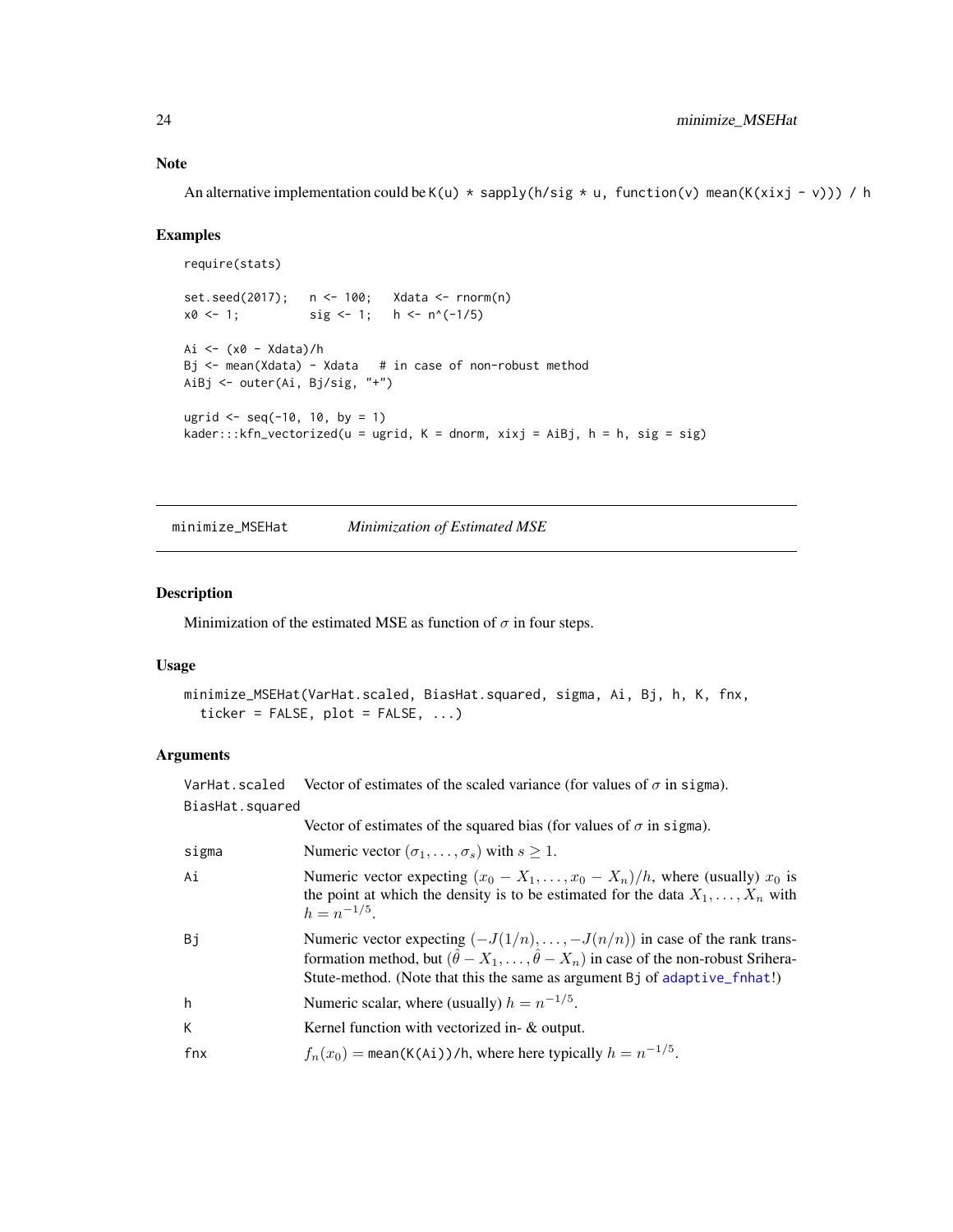<span id="page-23-0"></span>An alternative implementation could be K(u)  $*$  sapply(h/sig  $*$  u, function(v) mean(K(xixj - v))) / h

## Examples

```
require(stats)
set.seed(2017); n <- 100; Xdata <- rnorm(n)
x0 \le -1; \text{sig} \le -1; h \le -n^(-1/5)Ai \leftarrow (x0 - Xdata)/h
Bj <- mean(Xdata) - Xdata # in case of non-robust method
AiBj <- outer(Ai, Bj/sig, "+")
ugrid \le seq(-10, 10, by = 1)
kader:::kfn\_vectorized(u = ugrid, K = dnorm, xixj = AiBj, h = h, sig = sig)
```
<span id="page-23-1"></span>minimize\_MSEHat *Minimization of Estimated MSE*

## Description

Minimization of the estimated MSE as function of  $\sigma$  in four steps.

#### Usage

```
minimize_MSEHat(VarHat.scaled, BiasHat.squared, sigma, Ai, Bj, h, K, fnx,
  ticker = FALSE, plot = FALSE, ...)
```
## Arguments

| VarHat.scaled   | Vector of estimates of the scaled variance (for values of $\sigma$ in sigma).                                                                                                                                                                                               |
|-----------------|-----------------------------------------------------------------------------------------------------------------------------------------------------------------------------------------------------------------------------------------------------------------------------|
| BiasHat.squared |                                                                                                                                                                                                                                                                             |
|                 | Vector of estimates of the squared bias (for values of $\sigma$ in sigma).                                                                                                                                                                                                  |
| sigma           | Numeric vector $(\sigma_1, \ldots, \sigma_s)$ with $s \geq 1$ .                                                                                                                                                                                                             |
| Ai              | Numeric vector expecting $(x_0 - X_1, \ldots, x_0 - X_n)/h$ , where (usually) $x_0$ is<br>the point at which the density is to be estimated for the data $X_1, \ldots, X_n$ with<br>$h = n^{-1/5}$                                                                          |
| Bi              | Numeric vector expecting $(-J(1/n), \ldots, -J(n/n))$ in case of the rank trans-<br>formation method, but $(\hat{\theta} - X_1, \dots, \hat{\theta} - X_n)$ in case of the non-robust Srihera-<br>Stute-method. (Note that this the same as argument Bj of adaptive_finat!) |
| h               | Numeric scalar, where (usually) $h = n^{-1/5}$ .                                                                                                                                                                                                                            |
| K               | Kernel function with vectorized in- & output.                                                                                                                                                                                                                               |
| fnx             | $f_n(x_0)$ = mean(K(Ai))/h, where here typically $h = n^{-1/5}$ .                                                                                                                                                                                                           |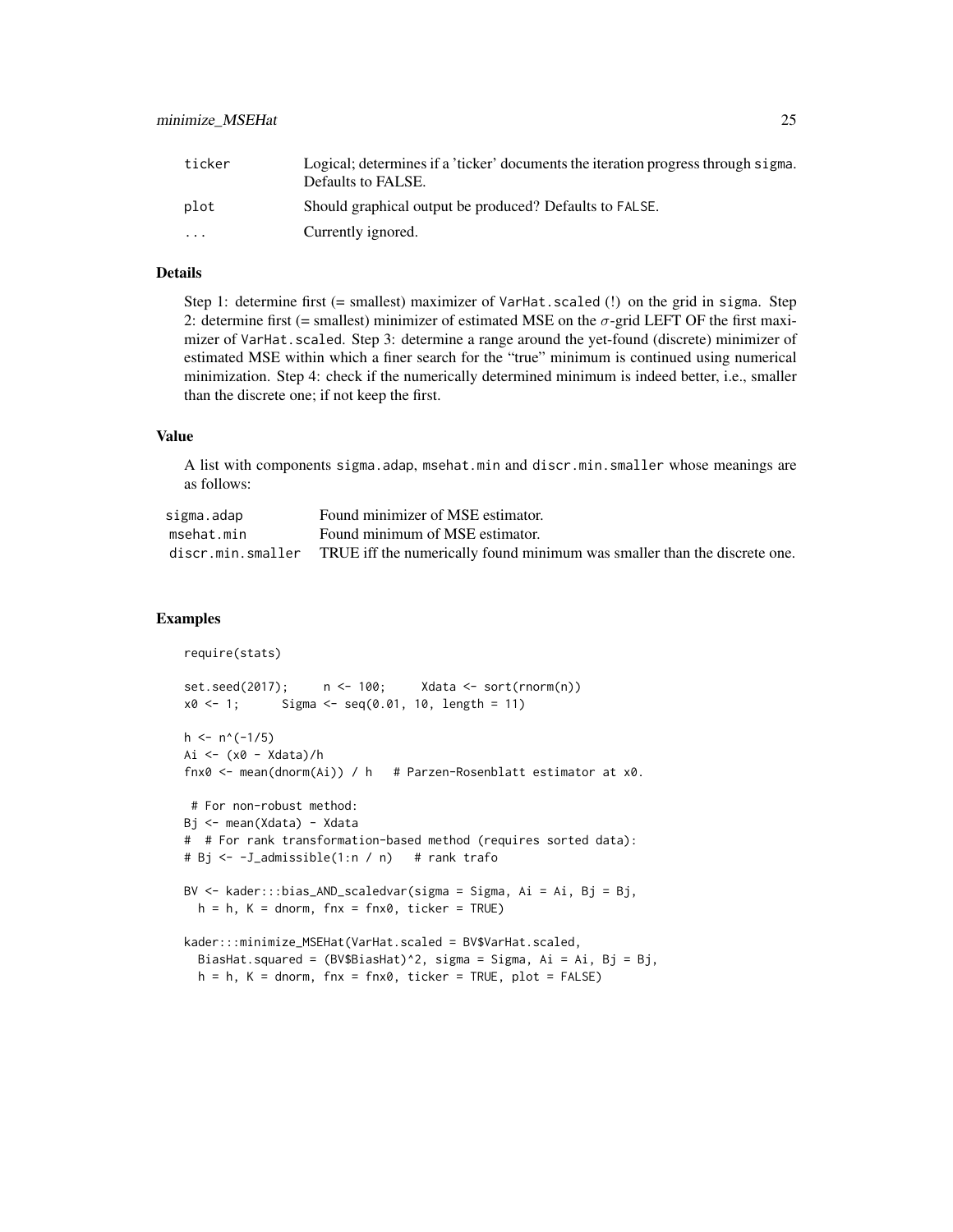| ticker    | Logical; determines if a 'ticker' documents the iteration progress through sigma.<br>Defaults to FALSE. |
|-----------|---------------------------------------------------------------------------------------------------------|
| plot      | Should graphical output be produced? Defaults to FALSE.                                                 |
| $\ddotsc$ | Currently ignored.                                                                                      |

## Details

Step 1: determine first (= smallest) maximizer of VarHat.scaled (!) on the grid in sigma. Step 2: determine first (= smallest) minimizer of estimated MSE on the  $\sigma$ -grid LEFT OF the first maximizer of VarHat.scaled. Step 3: determine a range around the yet-found (discrete) minimizer of estimated MSE within which a finer search for the "true" minimum is continued using numerical minimization. Step 4: check if the numerically determined minimum is indeed better, i.e., smaller than the discrete one; if not keep the first.

## Value

A list with components sigma.adap, msehat.min and discr.min.smaller whose meanings are as follows:

| sigma.adap | Found minimizer of MSE estimator.                                                           |
|------------|---------------------------------------------------------------------------------------------|
| msehat.min | Found minimum of MSE estimator.                                                             |
|            | discr.min.smaller TRUE iff the numerically found minimum was smaller than the discrete one. |

```
require(stats)
set.seed(2017); n <- 100; Xdata <- sort(rnorm(n))
x0 \le -1; Sigma \le - seq(0.01, 10, length = 11)
h \leq n^(-1/5)Ai <- (x0 - Xdata)/h
fnx0 <- mean(dnorm(Ai)) / h # Parzen-Rosenblatt estimator at x0.
# For non-robust method:
Bj <- mean(Xdata) - Xdata
# # For rank transformation-based method (requires sorted data):
# Bj <- -J_admissible(1:n / n) # rank trafo
BV <- kader:::bias_AND_scaledvar(sigma = Sigma, Ai = Ai, Bj = Bj,
 h = h, K = dnorm, fnx = fnx0, ticker = TRUE)
kader:::minimize_MSEHat(VarHat.scaled = BV$VarHat.scaled,
 BiasHat.squared = (BV$BiasHat)^2, sigma = Sigma, Ai = Ai, Bj = Bj,
 h = h, K = dnorm, fnx = fnx0, ticker = TRUE, plot = FALSE)
```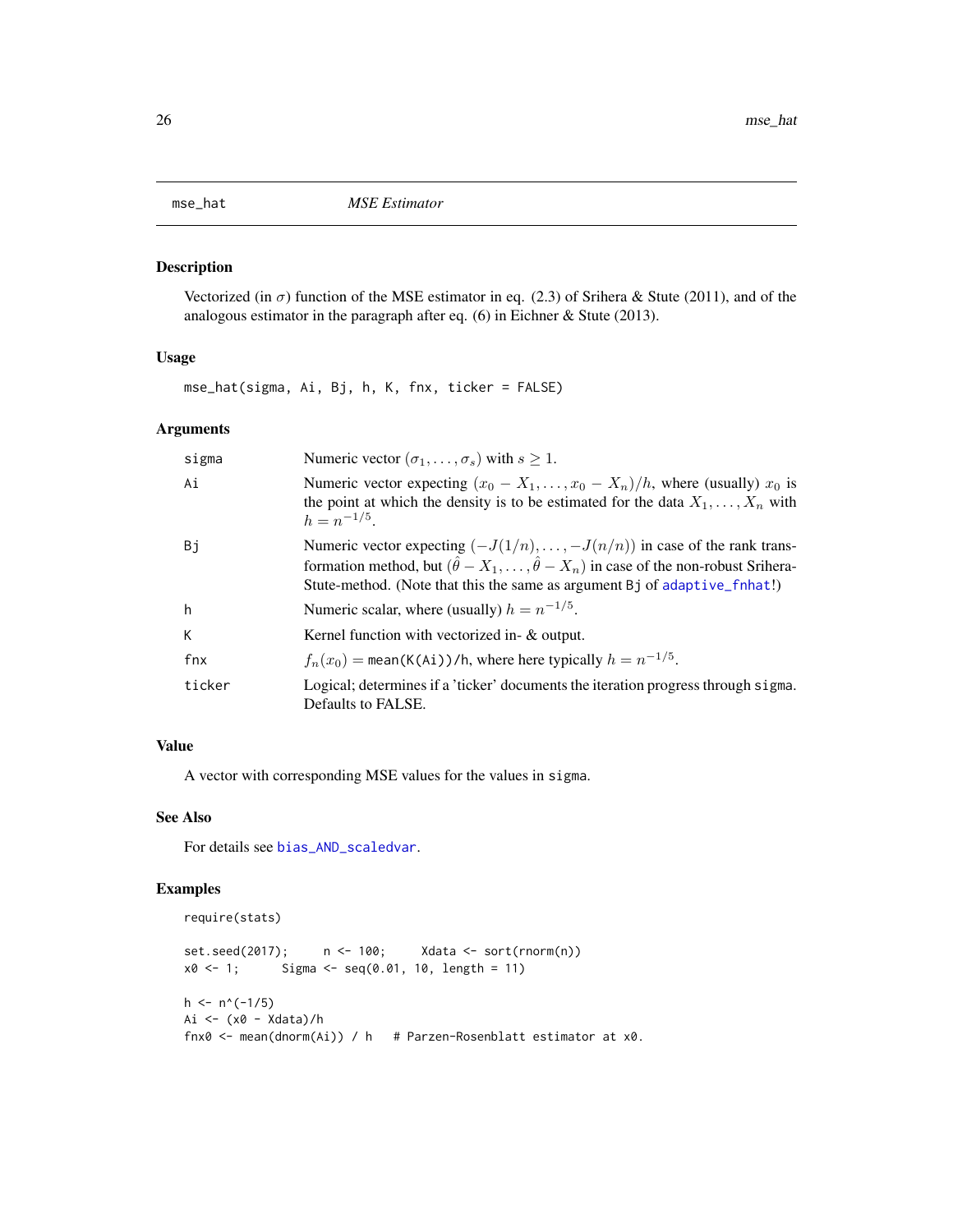<span id="page-25-0"></span>

## Description

Vectorized (in  $\sigma$ ) function of the MSE estimator in eq. (2.3) of Srihera & Stute (2011), and of the analogous estimator in the paragraph after eq. (6) in Eichner & Stute (2013).

## Usage

mse\_hat(sigma, Ai, Bj, h, K, fnx, ticker = FALSE)

## Arguments

| sigma  | Numeric vector $(\sigma_1, \ldots, \sigma_s)$ with $s \geq 1$ .                                                                                                                                                                                                      |
|--------|----------------------------------------------------------------------------------------------------------------------------------------------------------------------------------------------------------------------------------------------------------------------|
| Ai     | Numeric vector expecting $(x_0 - X_1, \ldots, x_0 - X_n)/h$ , where (usually) $x_0$ is<br>the point at which the density is to be estimated for the data $X_1, \ldots, X_n$ with<br>$h = n^{-1/5}$                                                                   |
| Bj     | Numeric vector expecting $(-J(1/n),, -J(n/n))$ in case of the rank trans-<br>formation method, but $(\hat{\theta} - X_1, \dots, \hat{\theta} - X_n)$ in case of the non-robust Srihera-<br>Stute-method. (Note that this the same as argument Bj of adaptive_fnhat!) |
| h      | Numeric scalar, where (usually) $h = n^{-1/5}$ .                                                                                                                                                                                                                     |
| К      | Kernel function with vectorized in- $\&$ output.                                                                                                                                                                                                                     |
| fnx    | $f_n(x_0)$ = mean(K(Ai))/h, where here typically $h = n^{-1/5}$ .                                                                                                                                                                                                    |
| ticker | Logical; determines if a 'ticker' documents the iteration progress through sigma.<br>Defaults to FALSE.                                                                                                                                                              |

## Value

A vector with corresponding MSE values for the values in sigma.

## See Also

For details see [bias\\_AND\\_scaledvar](#page-3-1).

```
require(stats)
```

```
set.seed(2017); n <- 100; Xdata <- sort(rnorm(n))
x0 \le -1; Sigma \le - seq(0.01, 10, length = 11)
h \leq n^(-1/5)Ai <- (x0 - Xdata)/h
fnx0 <- mean(dnorm(Ai)) / h # Parzen-Rosenblatt estimator at x0.
```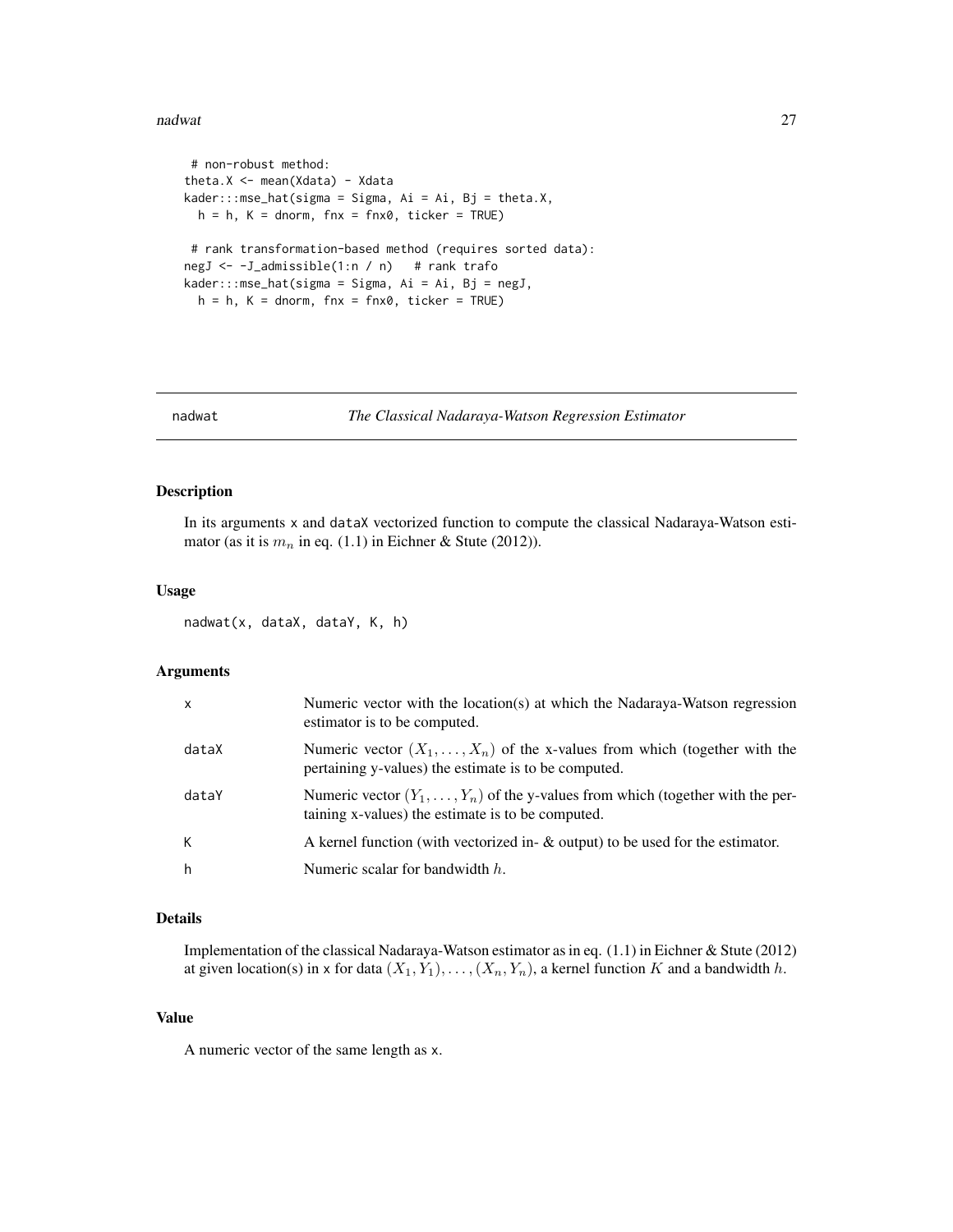#### <span id="page-26-0"></span>nadwat 27 kwa kutoka kwa kutoka mwaka wa 1972, wakazi wa 1972, wakazi wa 1972, wakazi wa 1972, wakazi wakazi w

```
# non-robust method:
theta.X <- mean(Xdata) - Xdata
kader::mes\_hat(sigma = Sigma, Ai = Ai, Bj = theta.X,h = h, K = dnorm, fnx = fnx0, ticker = TRUE)
# rank transformation-based method (requires sorted data):
negJ <- -J_admissible(1:n / n) # rank trafo
kader::mes\_hat(sigma = Sigma, Ai = Ai, Bj = negJ,h = h, K = dnorm, fnx = fnx0, ticker = TRUE)
```
## nadwat *The Classical Nadaraya-Watson Regression Estimator*

#### Description

In its arguments x and dataX vectorized function to compute the classical Nadaraya-Watson estimator (as it is  $m_n$  in eq. (1.1) in Eichner & Stute (2012)).

#### Usage

nadwat(x, dataX, dataY, K, h)

#### Arguments

| $\boldsymbol{\mathsf{x}}$ | Numeric vector with the location(s) at which the Nadaraya-Watson regression<br>estimator is to be computed.                                 |
|---------------------------|---------------------------------------------------------------------------------------------------------------------------------------------|
| dataX                     | Numeric vector $(X_1, \ldots, X_n)$ of the x-values from which (together with the<br>pertaining y-values) the estimate is to be computed.   |
| dataY                     | Numeric vector $(Y_1, \ldots, Y_n)$ of the y-values from which (together with the per-<br>taining x-values) the estimate is to be computed. |
| К                         | A kernel function (with vectorized in- $\&$ output) to be used for the estimator.                                                           |
| h                         | Numeric scalar for bandwidth $h$ .                                                                                                          |

## Details

Implementation of the classical Nadaraya-Watson estimator as in eq. (1.1) in Eichner & Stute (2012) at given location(s) in x for data  $(X_1, Y_1), \ldots, (X_n, Y_n)$ , a kernel function K and a bandwidth h.

#### Value

A numeric vector of the same length as x.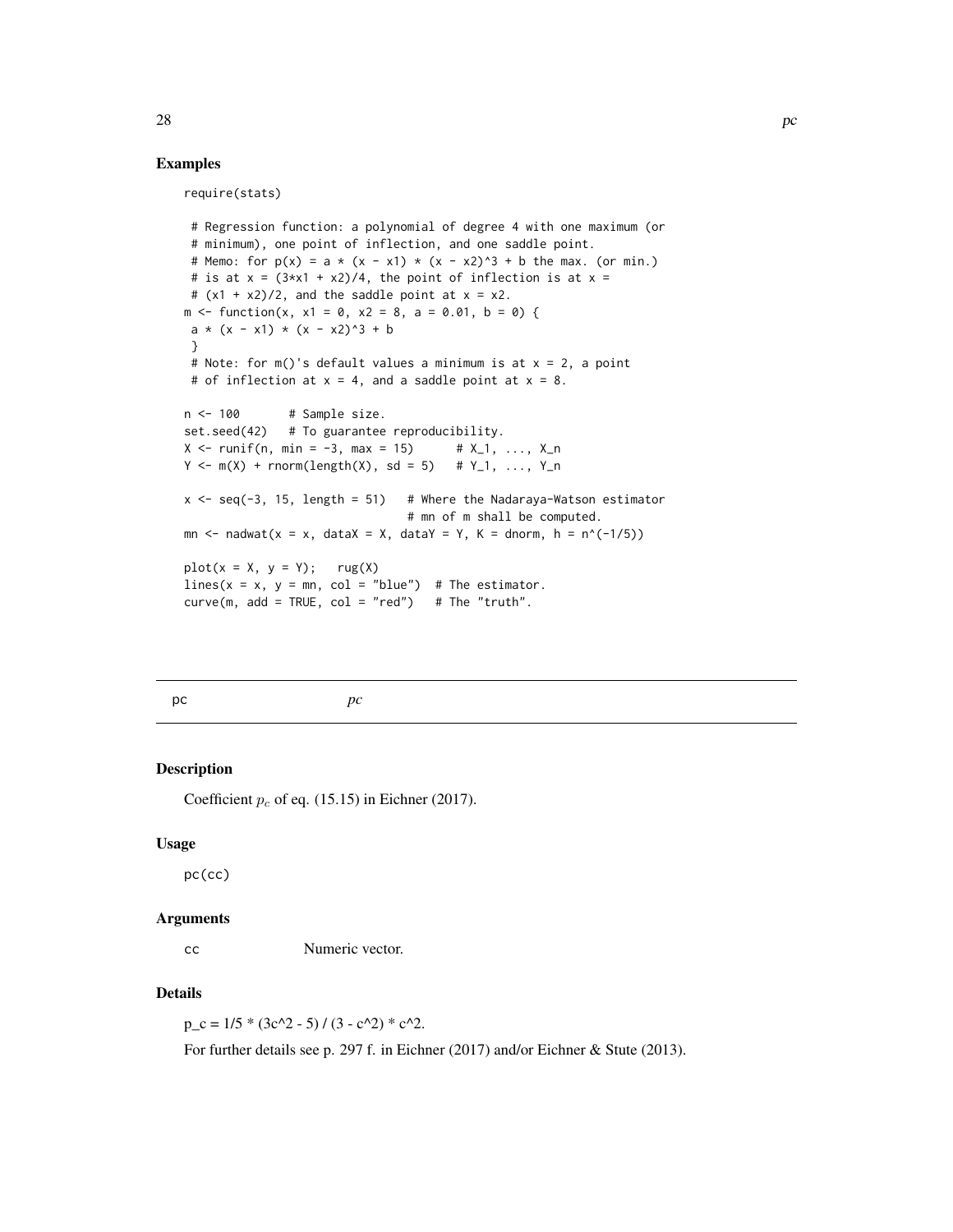## Examples

require(stats)

```
# Regression function: a polynomial of degree 4 with one maximum (or
# minimum), one point of inflection, and one saddle point.
# Memo: for p(x) = a * (x - x1) * (x - x2)^3 + b the max. (or min.)
# is at x = (3*x1 + x2)/4, the point of inflection is at x =# (x1 + x2)/2, and the saddle point at x = x2.
m \le function(x, x1 = 0, x2 = 8, a = 0.01, b = 0) {
a * (x - x1) * (x - x2)^3 + b}
# Note: for m()'s default values a minimum is at x = 2, a point
# of inflection at x = 4, and a saddle point at x = 8.
n < -100 # Sample size.
set.seed(42) # To guarantee reproducibility.
X \le runif(n, min = -3, max = 15) # X_1, ..., X_n
Y \le -m(X) + rnorm(length(X), sd = 5) + Y_1, ..., Y_nx \leq - seq(-3, 15, length = 51) # Where the Nadaraya-Watson estimator
                               # mn of m shall be computed.
mn \le nadwat(x = x, dataX = X, dataY = Y, K = dnorm, h = n^(-1/5))
plot(x = X, y = Y); rug(X)lines(x = x, y = mn, col = "blue") # The estimator.
curve(m, add = TRUE, col = "red") # The "truth".
```
<span id="page-27-1"></span>pc *pc*

## Description

Coefficient  $p_c$  of eq. (15.15) in Eichner (2017).

## Usage

pc(cc)

#### Arguments

cc Numeric vector.

#### Details

 $p_c = 1/5 * (3c^2 - 5) / (3 - c^2) * c^2.$ 

For further details see p. 297 f. in Eichner (2017) and/or Eichner & Stute (2013).

<span id="page-27-0"></span>28 **pc**  $\alpha$  pc  $\alpha$  pc  $\alpha$  pc  $\alpha$  pc  $\alpha$  pc  $\alpha$  pc  $\alpha$  pc  $\alpha$  pc  $\alpha$  pc  $\alpha$  pc  $\alpha$  pc  $\alpha$  pc  $\alpha$  pc  $\alpha$  pc  $\alpha$  pc  $\alpha$  pc  $\alpha$  pc  $\alpha$  pc  $\alpha$  pc  $\alpha$  pc  $\alpha$  pc  $\alpha$  pc  $\alpha$  pc  $\alpha$  pc  $\alpha$  pc  $\alpha$  pc  $\alpha$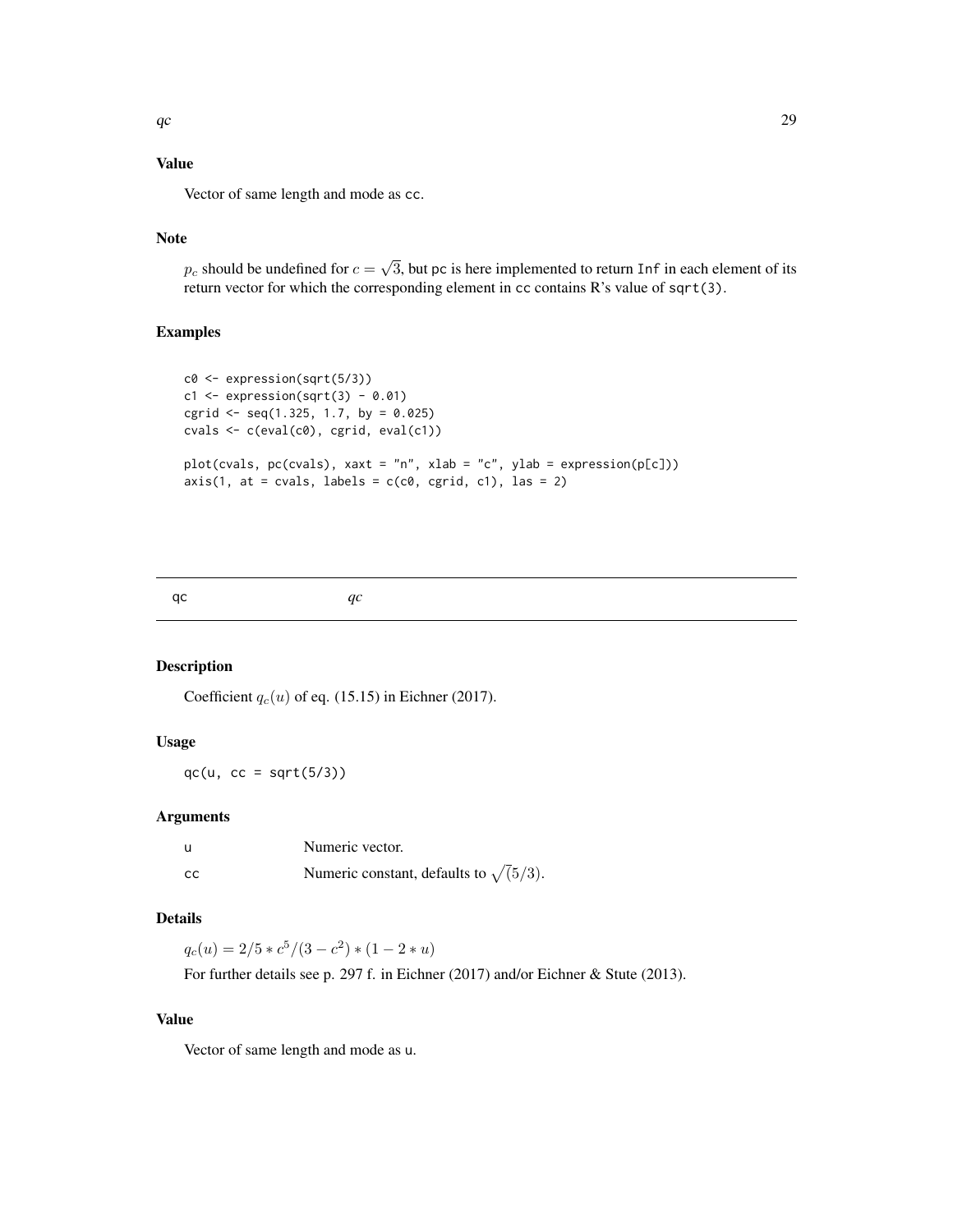## <span id="page-28-0"></span>Value

Vector of same length and mode as cc.

## Note

 $p_c$  should be undefined for  $c =$ √ 3, but pc is here implemented to return Inf in each element of its return vector for which the corresponding element in cc contains R's value of sqrt(3).

## Examples

```
c0 <- expression(sqrt(5/3))
c1 \leftarrow expression(sqrt(3) - 0.01)cgrid \le seq(1.325, 1.7, by = 0.025)
cvals \leftarrow c(eval(c0), cgrid, eval(c1))plot(cvals, pc(cvals), xaxt = "n", xlab = "c", ylab = expression(p[c]))
axis(1, at = cvals, labels = c(c0, cgrid, c1), las = 2)
```
<span id="page-28-1"></span>

```
qc qc
```
## Description

Coefficient  $q_c(u)$  of eq. (15.15) in Eichner (2017).

#### Usage

 $qc(u, cc = sqrt(5/3))$ 

## Arguments

| u  | Numeric vector.                              |
|----|----------------------------------------------|
| cc | Numeric constant, defaults to $\sqrt(5/3)$ . |

## Details

 $q_c(u) = 2/5 * c^5/(3 - c^2) * (1 - 2 * u)$ 

For further details see p. 297 f. in Eichner (2017) and/or Eichner & Stute (2013).

## Value

Vector of same length and mode as u.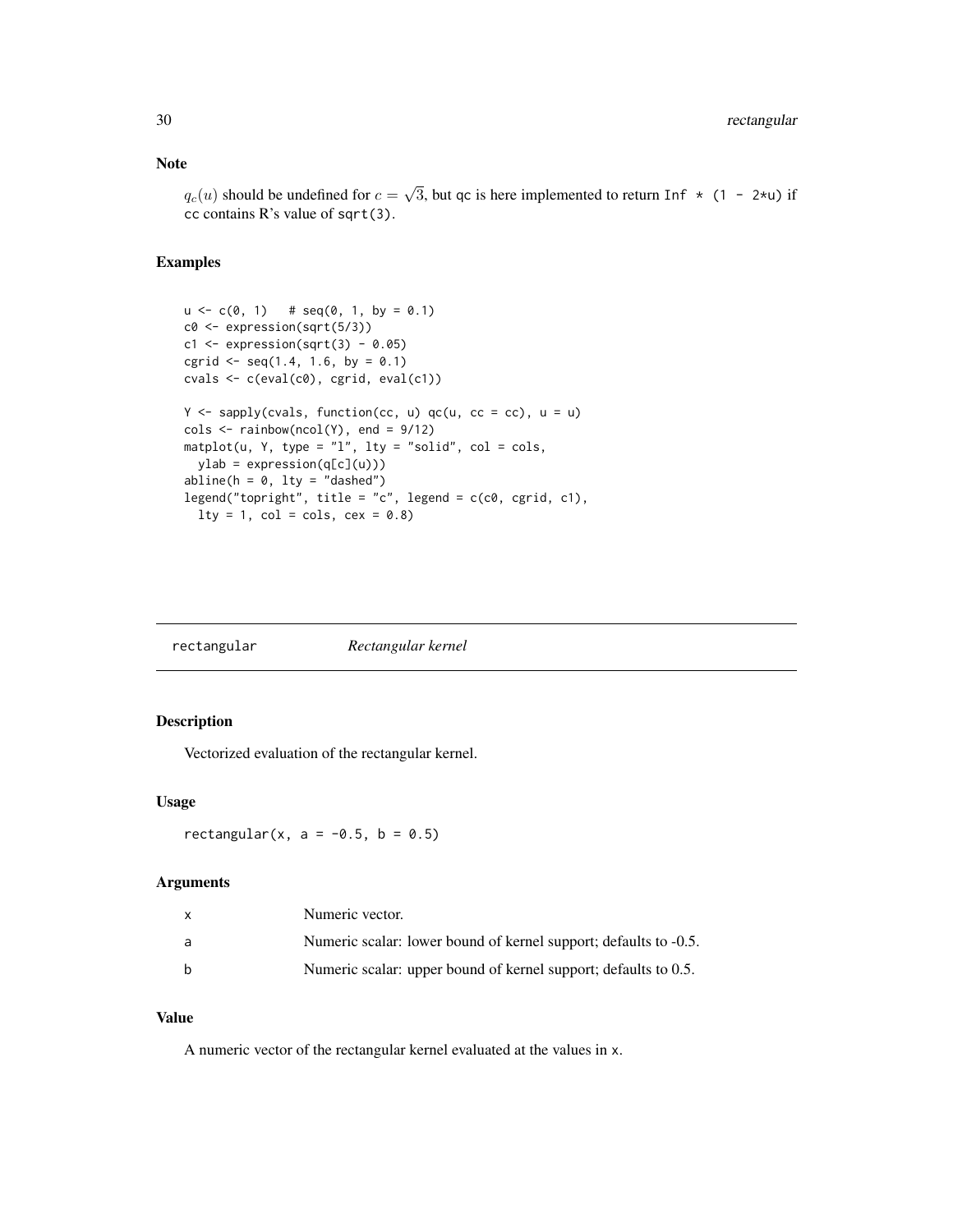## <span id="page-29-0"></span>Note

 $q_c(u)$  should be undefined for  $c =$ √ 3, but qc is here implemented to return Inf  $\star$  (1 - 2 $\star$ u) if cc contains R's value of sqrt(3).

## Examples

```
u \leq c(0, 1) # seq(0, 1, by = 0.1)c0 <- expression(sqrt(5/3))
c1 \leq - expression(sqrt(3) - 0.05)
cgrid \leq seq(1.4, 1.6, by = 0.1)
cvals \leftarrow c(eval(c0), cgrid, eval(c1))Y \leq - sapply(cvals, function(cc, u) qc(u, cc = cc), u = u)
\text{cols} \leq \text{rainbow}(\text{ncol}(Y), \text{ end} = \frac{9}{12})matplot(u, Y, type = "l", lty = "solid", col = <math>cols,
  ylab = expression(q[c](u)))abline(h = 0, 1ty = "dashed")legend("topright", title = "c", legend = c(c0, cgrid, c1),
  lty = 1, col = <math>cols</math>, <math>cex = 0.8</math>)
```

| rectangular | Rectangular kernel |
|-------------|--------------------|

## Description

Vectorized evaluation of the rectangular kernel.

## Usage

rectangular(x,  $a = -0.5$ ,  $b = 0.5$ )

#### Arguments

| X            | Numeric vector.                                                  |
|--------------|------------------------------------------------------------------|
| a            | Numeric scalar: lower bound of kernel support; defaults to -0.5. |
| <sub>b</sub> | Numeric scalar: upper bound of kernel support; defaults to 0.5.  |

## Value

A numeric vector of the rectangular kernel evaluated at the values in x.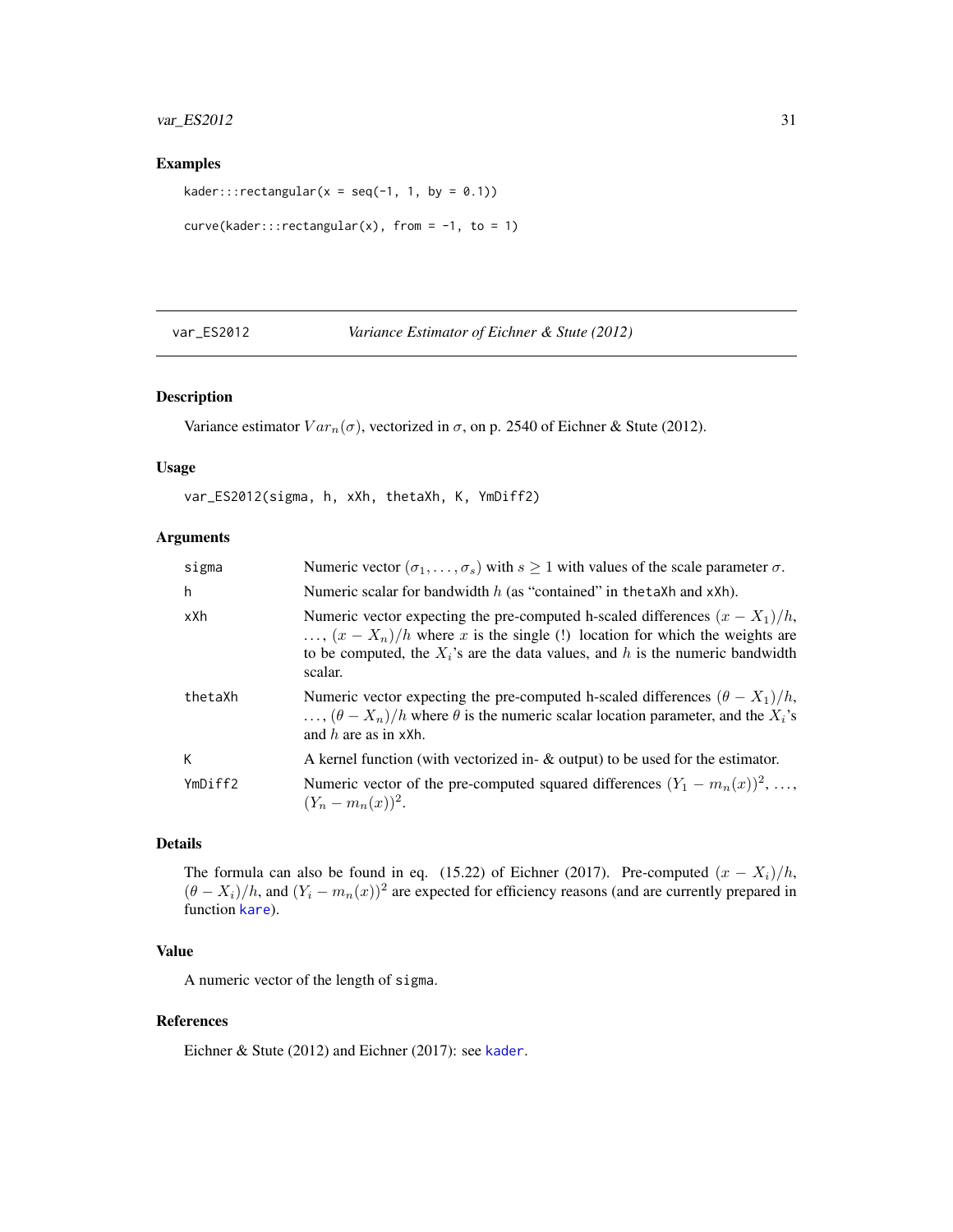## <span id="page-30-0"></span>var\_ES2012 31

## Examples

```
kader:::rectangular(x = \text{seq}(-1, 1, \text{ by } = 0.1))
```

```
curve(kader::rectangular(x), from = -1, to = 1)
```
<span id="page-30-1"></span>var\_ES2012 *Variance Estimator of Eichner & Stute (2012)*

## Description

Variance estimator  $Var_n(\sigma)$ , vectorized in  $\sigma$ , on p. 2540 of Eichner & Stute (2012).

#### Usage

var\_ES2012(sigma, h, xXh, thetaXh, K, YmDiff2)

## Arguments

| sigma   | Numeric vector $(\sigma_1, \ldots, \sigma_s)$ with $s \ge 1$ with values of the scale parameter $\sigma$ .                                                                                                                                                             |
|---------|------------------------------------------------------------------------------------------------------------------------------------------------------------------------------------------------------------------------------------------------------------------------|
| h       | Numeric scalar for bandwidth $h$ (as "contained" in the taXh and xXh).                                                                                                                                                                                                 |
| xXh     | Numeric vector expecting the pre-computed h-scaled differences $(x - X_1)/h$ ,<br>$\ldots$ , $(x - X_n)/h$ where x is the single (!) location for which the weights are<br>to be computed, the $X_i$ 's are the data values, and h is the numeric bandwidth<br>scalar. |
| thetaXh | Numeric vector expecting the pre-computed h-scaled differences $(\theta - X_1)/h$ ,<br>$\ldots$ , $(\theta - X_n)/h$ where $\theta$ is the numeric scalar location parameter, and the $X_i$ 's<br>and h are as in $xXh$ .                                              |
| К       | A kernel function (with vectorized in- $\&$ output) to be used for the estimator.                                                                                                                                                                                      |
| YmDiff2 | Numeric vector of the pre-computed squared differences $(Y_1 - m_n(x))^2, \ldots,$<br>$(Y_n - m_n(x))^2$ .                                                                                                                                                             |

## Details

The formula can also be found in eq. (15.22) of Eichner (2017). Pre-computed  $(x - X_i)/h$ ,  $(\theta - X_i)/h$ , and  $(Y_i - m_n(x))^2$  are expected for efficiency reasons (and are currently prepared in function [kare](#page-19-1)).

## Value

A numeric vector of the length of sigma.

#### References

Eichner & Stute (2012) and Eichner (2017): see [kader](#page-18-1).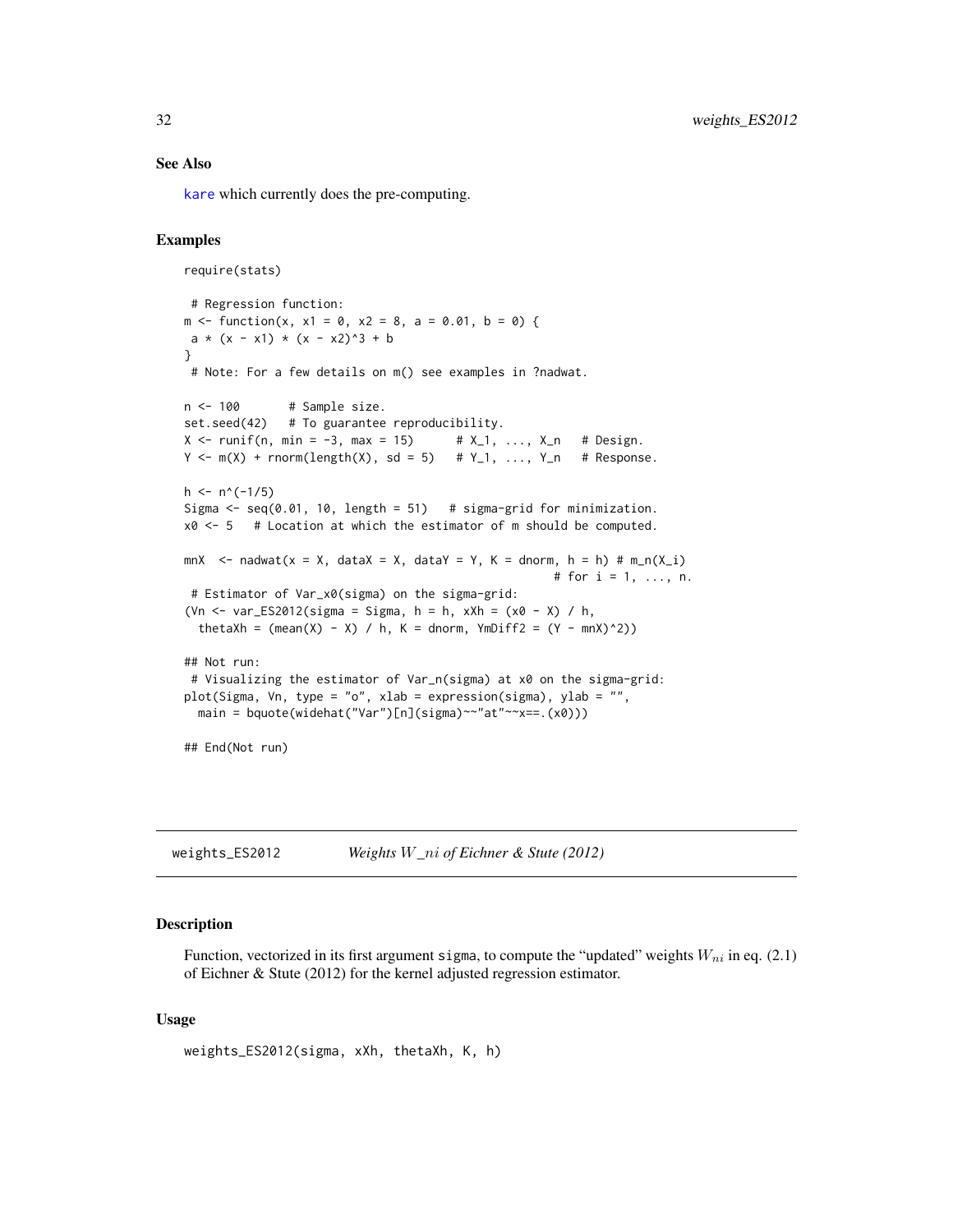#### <span id="page-31-0"></span>See Also

[kare](#page-19-1) which currently does the pre-computing.

## Examples

```
require(stats)
 # Regression function:
m \le function(x, x1 = 0, x2 = 8, a = 0.01, b = 0) {
a * (x - x1) * (x - x2)^3 + b}
 # Note: For a few details on m() see examples in ?nadwat.
n <- 100 # Sample size.
set.seed(42) # To guarantee reproducibility.
X \le runif(n, min = -3, max = 15) # X_1, ..., X_n # Design.
Y \leq -m(X) + rnorm(length(X), sd = 5) # Y_1, \ldots, Y_n # Response.
h \le -n^(-1/5)Sigma \leq seq(0.01, 10, length = 51) # sigma-grid for minimization.
x0 \leq -5 # Location at which the estimator of m should be computed.
mnX \le nadwat(x = X, dataX = X, dataY = Y, K = dnorm, h = h) # m_n(X_i)
                                                     # for i = 1, \ldots, n.
 # Estimator of Var_x0(sigma) on the sigma-grid:
(Vn \le var_ES2012(sigma = Sigma, h = h, xXh = (x0 - X) / h,
  thetaXh = (\text{mean}(X) - X) / h, K = dnorm, YmDiff2 = (Y - \text{max})^2))
## Not run:
 # Visualizing the estimator of Var_n(sigma) at x0 on the sigma-grid:
plot(Sigma, Vn, type = "o", xlab = expression(sigma), ylab = "",
  main = bquote(widehat("Var")[n](sigma)~~"at"~~x==.(x0)))
## End(Not run)
```
weights\_ES2012 *Weights* W*\_*ni *of Eichner & Stute (2012)*

## Description

Function, vectorized in its first argument sigma, to compute the "updated" weights  $W_{ni}$  in eq. (2.1) of Eichner & Stute (2012) for the kernel adjusted regression estimator.

#### Usage

```
weights_ES2012(sigma, xXh, thetaXh, K, h)
```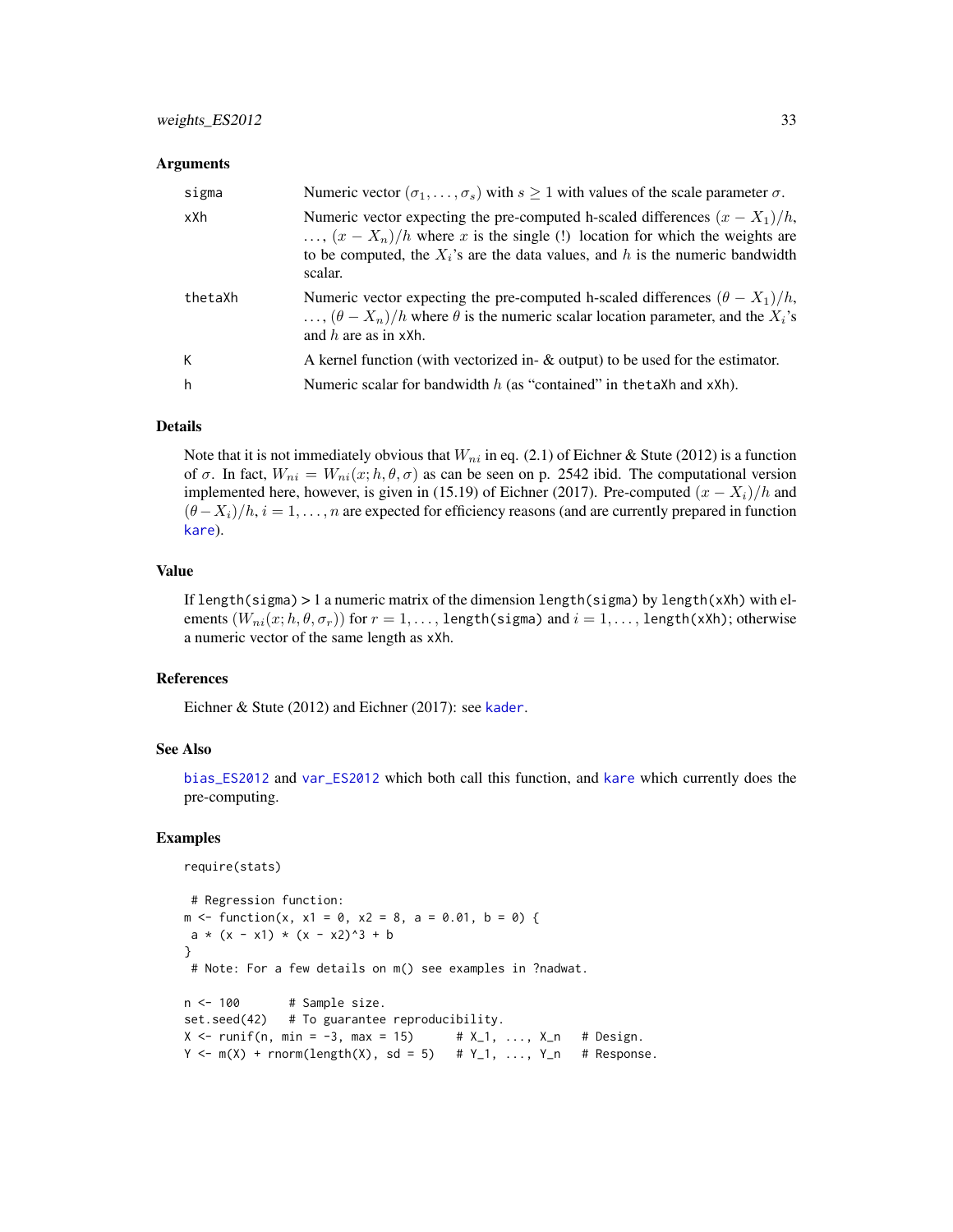#### <span id="page-32-0"></span>**Arguments**

| sigma   | Numeric vector $(\sigma_1, \ldots, \sigma_s)$ with $s \ge 1$ with values of the scale parameter $\sigma$ .                                                                                                                                                             |
|---------|------------------------------------------------------------------------------------------------------------------------------------------------------------------------------------------------------------------------------------------------------------------------|
| xXh     | Numeric vector expecting the pre-computed h-scaled differences $(x - X_1)/h$ ,<br>$\ldots$ , $(x - X_n)/h$ where x is the single (!) location for which the weights are<br>to be computed, the $X_i$ 's are the data values, and h is the numeric bandwidth<br>scalar. |
| thetaXh | Numeric vector expecting the pre-computed h-scaled differences $(\theta - X_1)/h$ ,<br>$\ldots$ , $(\theta - X_n)/h$ where $\theta$ is the numeric scalar location parameter, and the $X_i$ 's<br>and $h$ are as in xXh.                                               |
| К       | A kernel function (with vectorized in- $\&$ output) to be used for the estimator.                                                                                                                                                                                      |
| h       | Numeric scalar for bandwidth $h$ (as "contained" in the taXh and xXh).                                                                                                                                                                                                 |

#### Details

Note that it is not immediately obvious that  $W_{ni}$  in eq. (2.1) of Eichner & Stute (2012) is a function of  $\sigma$ . In fact,  $W_{ni} = W_{ni}(x; h, \theta, \sigma)$  as can be seen on p. 2542 ibid. The computational version implemented here, however, is given in (15.19) of Eichner (2017). Pre-computed  $(x - X_i)/h$  and  $(\theta - X_i)/h$ ,  $i = 1, \ldots, n$  are expected for efficiency reasons (and are currently prepared in function [kare](#page-19-1)).

#### Value

If length(sigma)  $> 1$  a numeric matrix of the dimension length(sigma) by length(xXh) with elements  $(W_{ni}(x;h,\theta,\sigma_r))$  for  $r=1,\ldots,1$ ength(sigma) and  $i=1,\ldots,1$ ength(xXh); otherwise a numeric vector of the same length as xXh.

#### References

Eichner & Stute (2012) and Eichner (2017): see [kader](#page-18-1).

#### See Also

[bias\\_ES2012](#page-5-1) and [var\\_ES2012](#page-30-1) which both call this function, and [kare](#page-19-1) which currently does the pre-computing.

```
require(stats)
```

```
# Regression function:
m \le function(x, x1 = 0, x2 = 8, a = 0.01, b = 0) {
a * (x - x1) * (x - x2)^3 + b}
 # Note: For a few details on m() see examples in ?nadwat.
n < -100 # Sample size.
set.seed(42) # To guarantee reproducibility.<br>X \le- runif(n, min = -3, max = 15) # X_1, ..., X_n # Design.
X \leq -\text{runif}(n, \text{min} = -3, \text{max} = 15)Y \leq m(X) + rnorm(length(X), sd = 5) # Y_1, \ldots, Y_n # Response.
```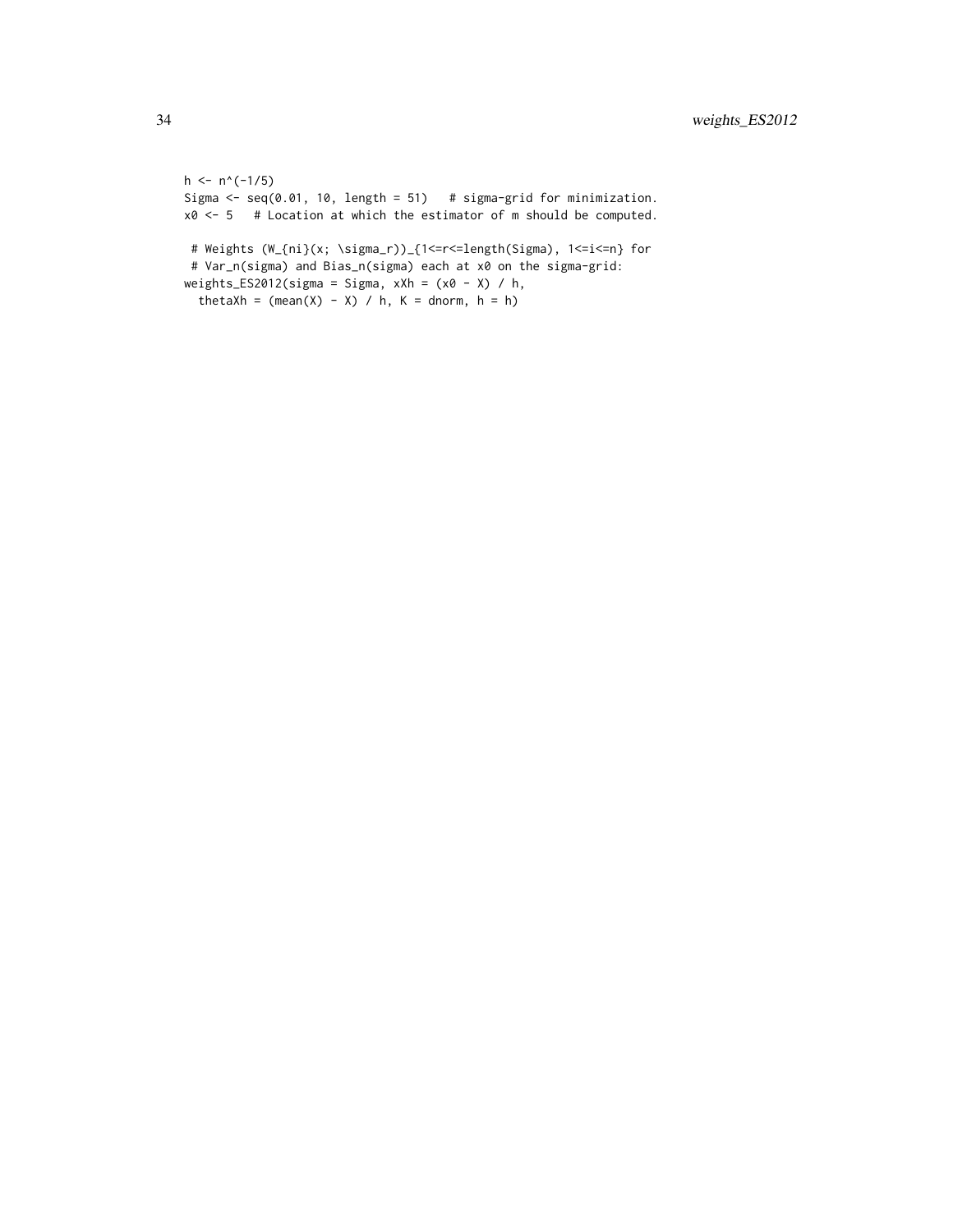```
h \leq -n^(-1/5)Sigma \leq seq(0.01, 10, length = 51) # sigma-grid for minimization.
x0 \le -5 # Location at which the estimator of m should be computed.
 # Weights (W_{ni}(x; \sigma_r))_{1<=r<=length(Sigma), 1<=i<=n} for
 # Var_n(sigma) and Bias_n(sigma) each at x0 on the sigma-grid:
weights_ES2012(sigma = Sigma, xXh = (x0 - X) / h,
  thetaXh = (mean(X) - X) / h, K = donorm, h = h)
```